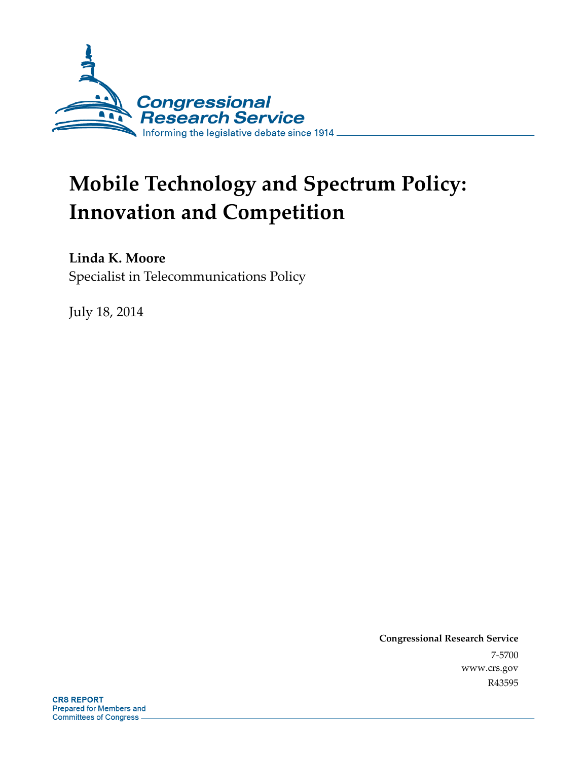

# **Mobile Technology and Spectrum Policy: Innovation and Competition**

**Linda K. Moore** 

Specialist in Telecommunications Policy

July 18, 2014

**Congressional Research Service**  7-5700 www.crs.gov R43595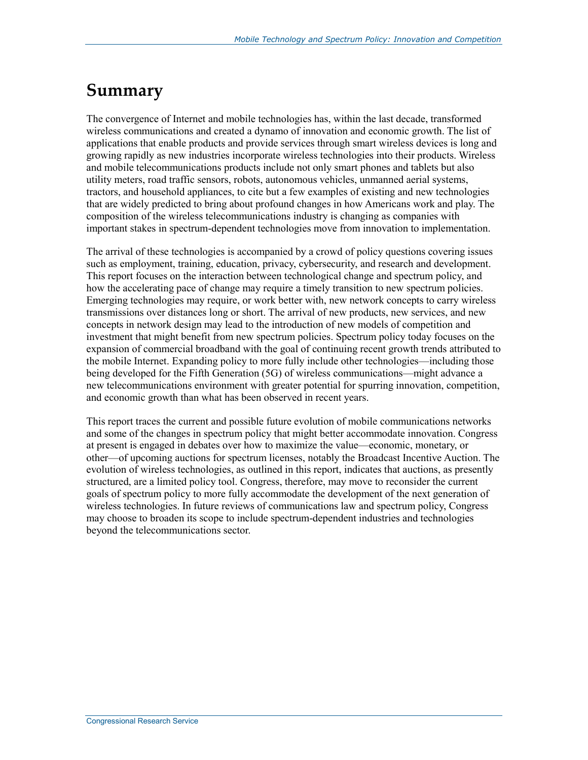## **Summary**

The convergence of Internet and mobile technologies has, within the last decade, transformed wireless communications and created a dynamo of innovation and economic growth. The list of applications that enable products and provide services through smart wireless devices is long and growing rapidly as new industries incorporate wireless technologies into their products. Wireless and mobile telecommunications products include not only smart phones and tablets but also utility meters, road traffic sensors, robots, autonomous vehicles, unmanned aerial systems, tractors, and household appliances, to cite but a few examples of existing and new technologies that are widely predicted to bring about profound changes in how Americans work and play. The composition of the wireless telecommunications industry is changing as companies with important stakes in spectrum-dependent technologies move from innovation to implementation.

The arrival of these technologies is accompanied by a crowd of policy questions covering issues such as employment, training, education, privacy, cybersecurity, and research and development. This report focuses on the interaction between technological change and spectrum policy, and how the accelerating pace of change may require a timely transition to new spectrum policies. Emerging technologies may require, or work better with, new network concepts to carry wireless transmissions over distances long or short. The arrival of new products, new services, and new concepts in network design may lead to the introduction of new models of competition and investment that might benefit from new spectrum policies. Spectrum policy today focuses on the expansion of commercial broadband with the goal of continuing recent growth trends attributed to the mobile Internet. Expanding policy to more fully include other technologies—including those being developed for the Fifth Generation (5G) of wireless communications—might advance a new telecommunications environment with greater potential for spurring innovation, competition, and economic growth than what has been observed in recent years.

This report traces the current and possible future evolution of mobile communications networks and some of the changes in spectrum policy that might better accommodate innovation. Congress at present is engaged in debates over how to maximize the value—economic, monetary, or other—of upcoming auctions for spectrum licenses, notably the Broadcast Incentive Auction. The evolution of wireless technologies, as outlined in this report, indicates that auctions, as presently structured, are a limited policy tool. Congress, therefore, may move to reconsider the current goals of spectrum policy to more fully accommodate the development of the next generation of wireless technologies. In future reviews of communications law and spectrum policy, Congress may choose to broaden its scope to include spectrum-dependent industries and technologies beyond the telecommunications sector.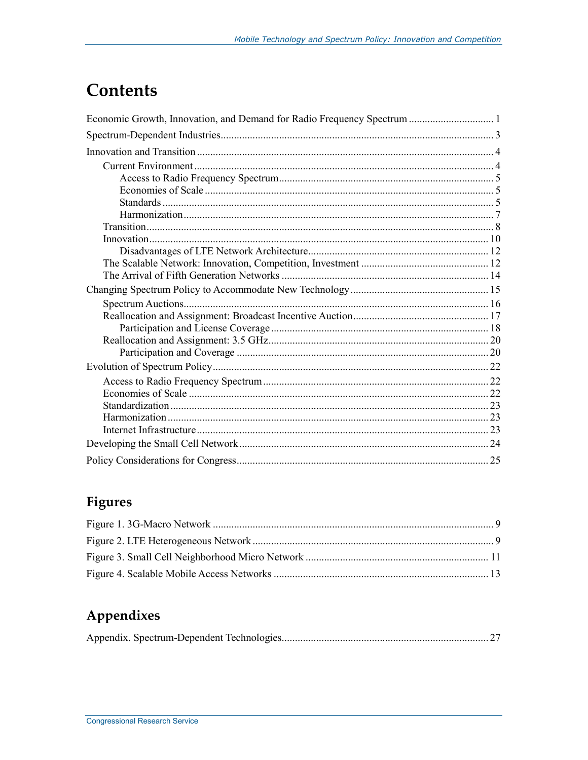## **Contents**

## Figures

## Appendixes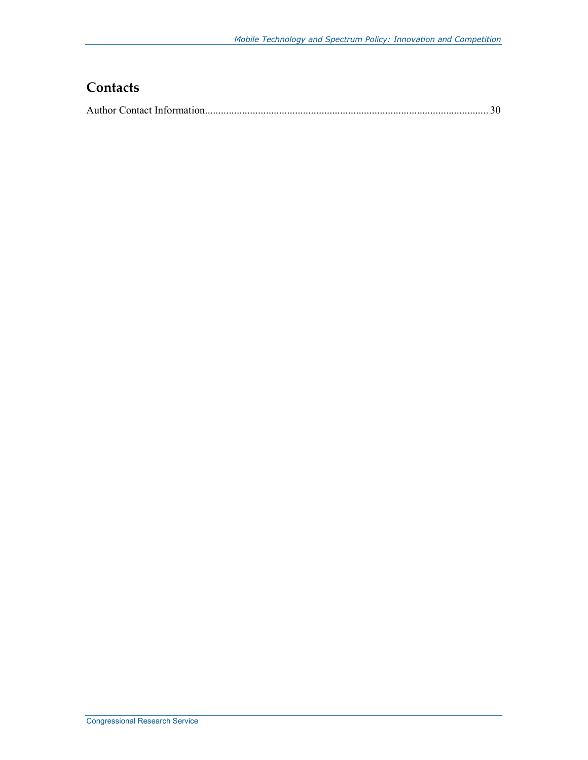## **Contacts**

|--|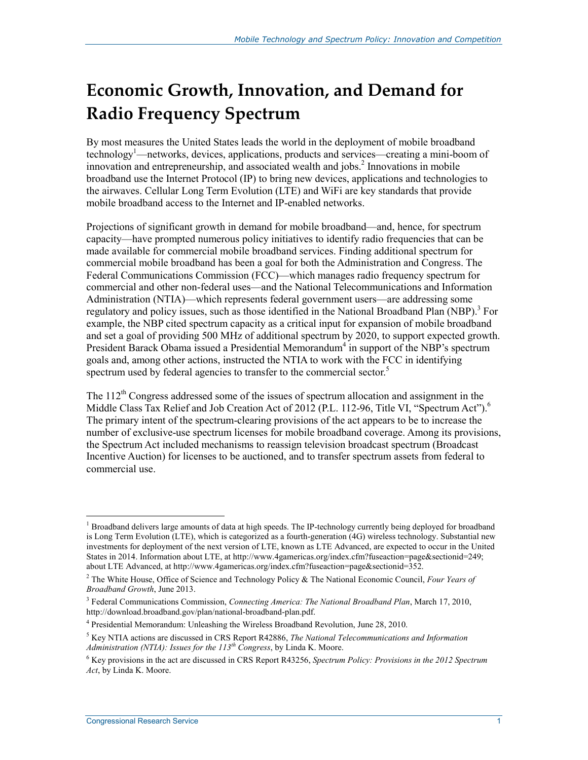## **Economic Growth, Innovation, and Demand for Radio Frequency Spectrum**

By most measures the United States leads the world in the deployment of mobile broadband technology<sup>1</sup>—networks, devices, applications, products and services—creating a mini-boom of innovation and entrepreneurship, and associated wealth and jobs.<sup>2</sup> Innovations in mobile broadband use the Internet Protocol (IP) to bring new devices, applications and technologies to the airwaves. Cellular Long Term Evolution (LTE) and WiFi are key standards that provide mobile broadband access to the Internet and IP-enabled networks.

Projections of significant growth in demand for mobile broadband—and, hence, for spectrum capacity—have prompted numerous policy initiatives to identify radio frequencies that can be made available for commercial mobile broadband services. Finding additional spectrum for commercial mobile broadband has been a goal for both the Administration and Congress. The Federal Communications Commission (FCC)—which manages radio frequency spectrum for commercial and other non-federal uses—and the National Telecommunications and Information Administration (NTIA)—which represents federal government users—are addressing some regulatory and policy issues, such as those identified in the National Broadband Plan (NBP).<sup>3</sup> For example, the NBP cited spectrum capacity as a critical input for expansion of mobile broadband and set a goal of providing 500 MHz of additional spectrum by 2020, to support expected growth. President Barack Obama issued a Presidential Memorandum<sup>4</sup> in support of the NBP's spectrum goals and, among other actions, instructed the NTIA to work with the FCC in identifying spectrum used by federal agencies to transfer to the commercial sector.<sup>5</sup>

The  $112<sup>th</sup>$  Congress addressed some of the issues of spectrum allocation and assignment in the Middle Class Tax Relief and Job Creation Act of 2012 (P.L. 112-96, Title VI, "Spectrum Act").<sup>6</sup> The primary intent of the spectrum-clearing provisions of the act appears to be to increase the number of exclusive-use spectrum licenses for mobile broadband coverage. Among its provisions, the Spectrum Act included mechanisms to reassign television broadcast spectrum (Broadcast Incentive Auction) for licenses to be auctioned, and to transfer spectrum assets from federal to commercial use.

<u>.</u>

<sup>&</sup>lt;sup>1</sup> Broadband delivers large amounts of data at high speeds. The IP-technology currently being deployed for broadband is Long Term Evolution (LTE), which is categorized as a fourth-generation (4G) wireless technology. Substantial new investments for deployment of the next version of LTE, known as LTE Advanced, are expected to occur in the United States in 2014. Information about LTE, at http://www.4gamericas.org/index.cfm?fuseaction=page&sectionid=249; about LTE Advanced, at http://www.4gamericas.org/index.cfm?fuseaction=page&sectionid=352.

<sup>2</sup> The White House, Office of Science and Technology Policy & The National Economic Council, *Four Years of Broadband Growth*, June 2013.

<sup>3</sup> Federal Communications Commission, *Connecting America: The National Broadband Plan*, March 17, 2010, http://download.broadband.gov/plan/national-broadband-plan.pdf.

<sup>4</sup> Presidential Memorandum: Unleashing the Wireless Broadband Revolution, June 28, 2010.

<sup>5</sup> Key NTIA actions are discussed in CRS Report R42886, *The National Telecommunications and Information Administration (NTIA): Issues for the 113th Congress*, by Linda K. Moore.

<sup>6</sup> Key provisions in the act are discussed in CRS Report R43256, *Spectrum Policy: Provisions in the 2012 Spectrum Act*, by Linda K. Moore.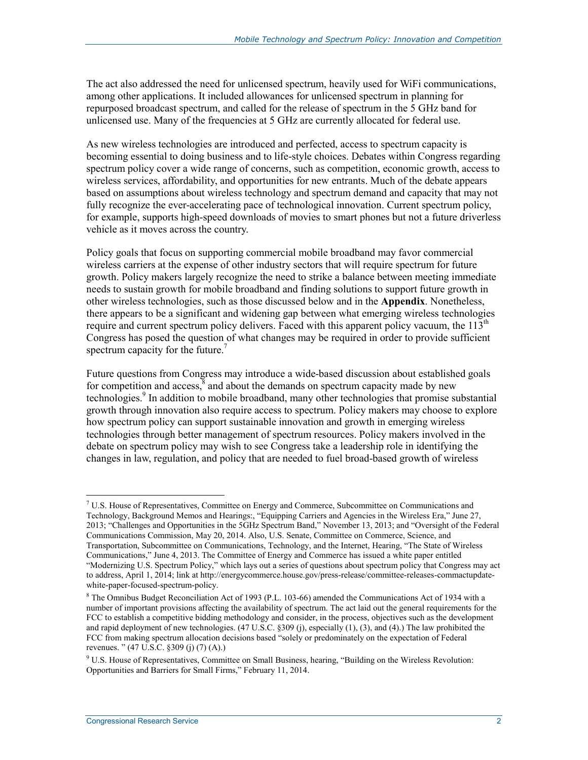The act also addressed the need for unlicensed spectrum, heavily used for WiFi communications, among other applications. It included allowances for unlicensed spectrum in planning for repurposed broadcast spectrum, and called for the release of spectrum in the 5 GHz band for unlicensed use. Many of the frequencies at 5 GHz are currently allocated for federal use.

As new wireless technologies are introduced and perfected, access to spectrum capacity is becoming essential to doing business and to life-style choices. Debates within Congress regarding spectrum policy cover a wide range of concerns, such as competition, economic growth, access to wireless services, affordability, and opportunities for new entrants. Much of the debate appears based on assumptions about wireless technology and spectrum demand and capacity that may not fully recognize the ever-accelerating pace of technological innovation. Current spectrum policy, for example, supports high-speed downloads of movies to smart phones but not a future driverless vehicle as it moves across the country.

Policy goals that focus on supporting commercial mobile broadband may favor commercial wireless carriers at the expense of other industry sectors that will require spectrum for future growth. Policy makers largely recognize the need to strike a balance between meeting immediate needs to sustain growth for mobile broadband and finding solutions to support future growth in other wireless technologies, such as those discussed below and in the **Appendix**. Nonetheless, there appears to be a significant and widening gap between what emerging wireless technologies require and current spectrum policy delivers. Faced with this apparent policy vacuum, the  $113<sup>th</sup>$ Congress has posed the question of what changes may be required in order to provide sufficient spectrum capacity for the future.<sup>7</sup>

Future questions from Congress may introduce a wide-based discussion about established goals for competition and access, $\bar{\delta}$  and about the demands on spectrum capacity made by new technologies.<sup>9</sup> In addition to mobile broadband, many other technologies that promise substantial growth through innovation also require access to spectrum. Policy makers may choose to explore how spectrum policy can support sustainable innovation and growth in emerging wireless technologies through better management of spectrum resources. Policy makers involved in the debate on spectrum policy may wish to see Congress take a leadership role in identifying the changes in law, regulation, and policy that are needed to fuel broad-based growth of wireless

<sup>7</sup> U.S. House of Representatives, Committee on Energy and Commerce, Subcommittee on Communications and Technology, Background Memos and Hearings:, "Equipping Carriers and Agencies in the Wireless Era," June 27, 2013; "Challenges and Opportunities in the 5GHz Spectrum Band," November 13, 2013; and "Oversight of the Federal Communications Commission, May 20, 2014. Also, U.S. Senate, Committee on Commerce, Science, and Transportation, Subcommittee on Communications, Technology, and the Internet, Hearing, "The State of Wireless Communications," June 4, 2013. The Committee of Energy and Commerce has issued a white paper entitled "Modernizing U.S. Spectrum Policy," which lays out a series of questions about spectrum policy that Congress may act to address, April 1, 2014; link at http://energycommerce.house.gov/press-release/committee-releases-commactupdatewhite-paper-focused-spectrum-policy.

<sup>&</sup>lt;sup>8</sup> The Omnibus Budget Reconciliation Act of 1993 (P.L. 103-66) amended the Communications Act of 1934 with a number of important provisions affecting the availability of spectrum. The act laid out the general requirements for the FCC to establish a competitive bidding methodology and consider, in the process, objectives such as the development and rapid deployment of new technologies. (47 U.S.C. §309 (j), especially (1), (3), and (4).) The law prohibited the FCC from making spectrum allocation decisions based "solely or predominately on the expectation of Federal revenues. " (47 U.S.C. §309 (j) (7) (A).)

<sup>&</sup>lt;sup>9</sup> U.S. House of Representatives, Committee on Small Business, hearing, "Building on the Wireless Revolution: Opportunities and Barriers for Small Firms," February 11, 2014.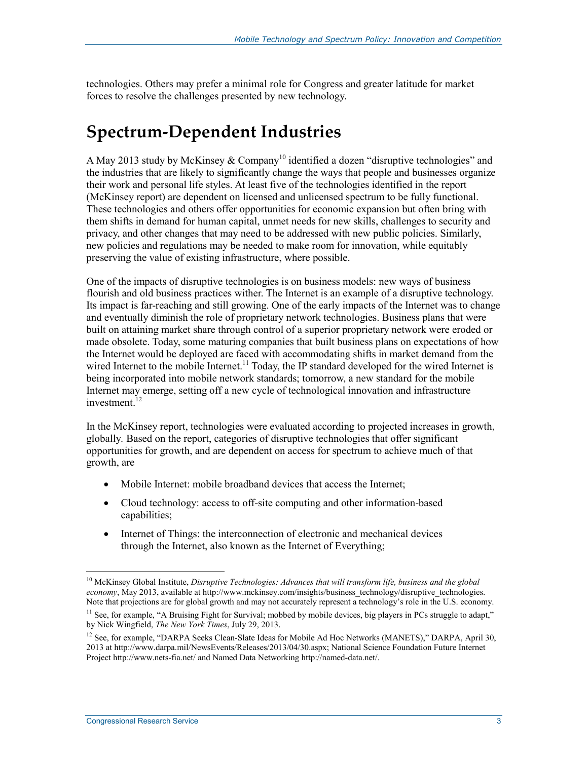technologies. Others may prefer a minimal role for Congress and greater latitude for market forces to resolve the challenges presented by new technology.

## **Spectrum-Dependent Industries**

A May 2013 study by McKinsey  $& Company^{10}$  identified a dozen "disruptive technologies" and the industries that are likely to significantly change the ways that people and businesses organize their work and personal life styles. At least five of the technologies identified in the report (McKinsey report) are dependent on licensed and unlicensed spectrum to be fully functional. These technologies and others offer opportunities for economic expansion but often bring with them shifts in demand for human capital, unmet needs for new skills, challenges to security and privacy, and other changes that may need to be addressed with new public policies. Similarly, new policies and regulations may be needed to make room for innovation, while equitably preserving the value of existing infrastructure, where possible.

One of the impacts of disruptive technologies is on business models: new ways of business flourish and old business practices wither. The Internet is an example of a disruptive technology. Its impact is far-reaching and still growing. One of the early impacts of the Internet was to change and eventually diminish the role of proprietary network technologies. Business plans that were built on attaining market share through control of a superior proprietary network were eroded or made obsolete. Today, some maturing companies that built business plans on expectations of how the Internet would be deployed are faced with accommodating shifts in market demand from the wired Internet to the mobile Internet.<sup>11</sup> Today, the IP standard developed for the wired Internet is being incorporated into mobile network standards; tomorrow, a new standard for the mobile Internet may emerge, setting off a new cycle of technological innovation and infrastructure investment.<sup>12</sup>

In the McKinsey report, technologies were evaluated according to projected increases in growth, globally*.* Based on the report, categories of disruptive technologies that offer significant opportunities for growth, and are dependent on access for spectrum to achieve much of that growth, are

- Mobile Internet: mobile broadband devices that access the Internet;
- Cloud technology: access to off-site computing and other information-based capabilities;
- Internet of Things: the interconnection of electronic and mechanical devices through the Internet, also known as the Internet of Everything;

<sup>10</sup> McKinsey Global Institute, *Disruptive Technologies: Advances that will transform life, business and the global economy*, May 2013, available at http://www.mckinsey.com/insights/business\_technology/disruptive\_technologies. Note that projections are for global growth and may not accurately represent a technology's role in the U.S. economy.

 $<sup>11</sup>$  See, for example, "A Bruising Fight for Survival; mobbed by mobile devices, big players in PCs struggle to adapt,"</sup> by Nick Wingfield, *The New York Times*, July 29, 2013.

<sup>&</sup>lt;sup>12</sup> See, for example, "DARPA Seeks Clean-Slate Ideas for Mobile Ad Hoc Networks (MANETS)," DARPA, April 30, 2013 at http://www.darpa.mil/NewsEvents/Releases/2013/04/30.aspx; National Science Foundation Future Internet Project http://www.nets-fia.net/ and Named Data Networking http://named-data.net/.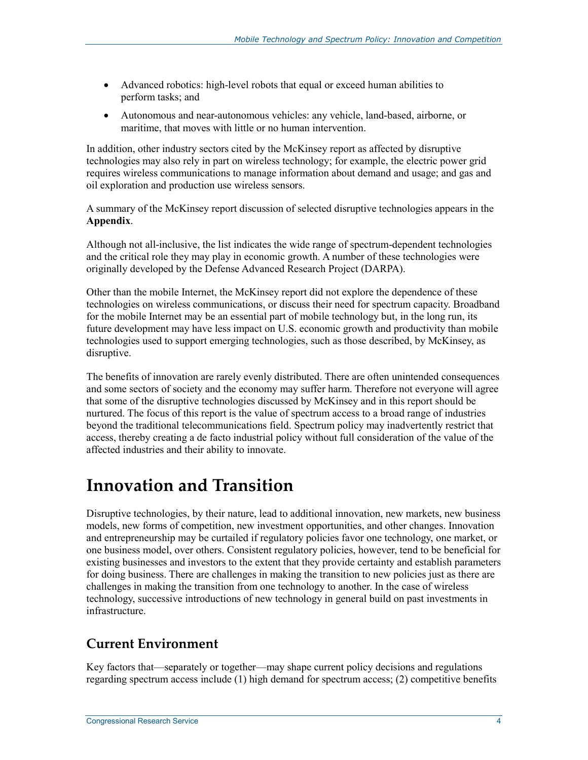- Advanced robotics: high-level robots that equal or exceed human abilities to perform tasks; and
- Autonomous and near-autonomous vehicles: any vehicle, land-based, airborne, or maritime, that moves with little or no human intervention.

In addition, other industry sectors cited by the McKinsey report as affected by disruptive technologies may also rely in part on wireless technology; for example, the electric power grid requires wireless communications to manage information about demand and usage; and gas and oil exploration and production use wireless sensors.

A summary of the McKinsey report discussion of selected disruptive technologies appears in the **Appendix**.

Although not all-inclusive, the list indicates the wide range of spectrum-dependent technologies and the critical role they may play in economic growth. A number of these technologies were originally developed by the Defense Advanced Research Project (DARPA).

Other than the mobile Internet, the McKinsey report did not explore the dependence of these technologies on wireless communications, or discuss their need for spectrum capacity. Broadband for the mobile Internet may be an essential part of mobile technology but, in the long run, its future development may have less impact on U.S. economic growth and productivity than mobile technologies used to support emerging technologies, such as those described, by McKinsey, as disruptive.

The benefits of innovation are rarely evenly distributed. There are often unintended consequences and some sectors of society and the economy may suffer harm. Therefore not everyone will agree that some of the disruptive technologies discussed by McKinsey and in this report should be nurtured. The focus of this report is the value of spectrum access to a broad range of industries beyond the traditional telecommunications field. Spectrum policy may inadvertently restrict that access, thereby creating a de facto industrial policy without full consideration of the value of the affected industries and their ability to innovate.

## **Innovation and Transition**

Disruptive technologies, by their nature, lead to additional innovation, new markets, new business models, new forms of competition, new investment opportunities, and other changes. Innovation and entrepreneurship may be curtailed if regulatory policies favor one technology, one market, or one business model, over others. Consistent regulatory policies, however, tend to be beneficial for existing businesses and investors to the extent that they provide certainty and establish parameters for doing business. There are challenges in making the transition to new policies just as there are challenges in making the transition from one technology to another. In the case of wireless technology, successive introductions of new technology in general build on past investments in infrastructure.

## **Current Environment**

Key factors that—separately or together—may shape current policy decisions and regulations regarding spectrum access include (1) high demand for spectrum access; (2) competitive benefits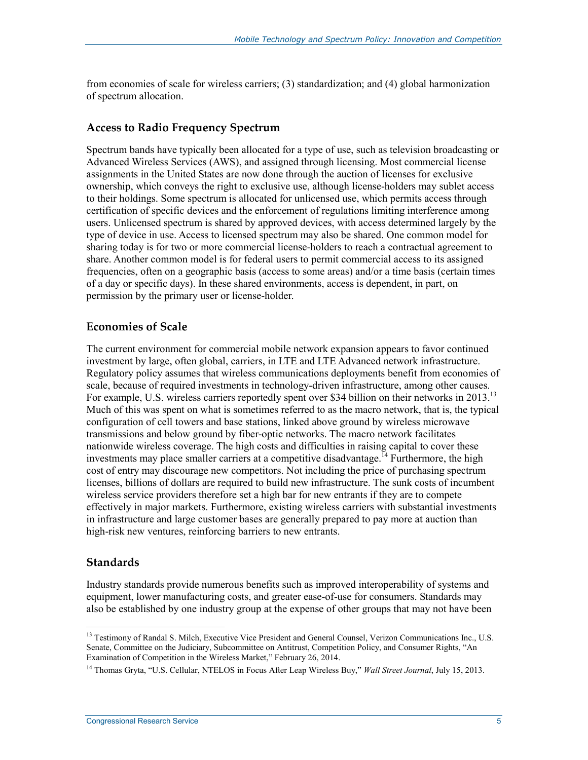from economies of scale for wireless carriers; (3) standardization; and (4) global harmonization of spectrum allocation.

#### **Access to Radio Frequency Spectrum**

Spectrum bands have typically been allocated for a type of use, such as television broadcasting or Advanced Wireless Services (AWS), and assigned through licensing. Most commercial license assignments in the United States are now done through the auction of licenses for exclusive ownership, which conveys the right to exclusive use, although license-holders may sublet access to their holdings. Some spectrum is allocated for unlicensed use, which permits access through certification of specific devices and the enforcement of regulations limiting interference among users. Unlicensed spectrum is shared by approved devices, with access determined largely by the type of device in use. Access to licensed spectrum may also be shared. One common model for sharing today is for two or more commercial license-holders to reach a contractual agreement to share. Another common model is for federal users to permit commercial access to its assigned frequencies, often on a geographic basis (access to some areas) and/or a time basis (certain times of a day or specific days). In these shared environments, access is dependent, in part, on permission by the primary user or license-holder.

#### **Economies of Scale**

The current environment for commercial mobile network expansion appears to favor continued investment by large, often global, carriers, in LTE and LTE Advanced network infrastructure. Regulatory policy assumes that wireless communications deployments benefit from economies of scale, because of required investments in technology-driven infrastructure, among other causes. For example, U.S. wireless carriers reportedly spent over \$34 billion on their networks in 2013.<sup>13</sup> Much of this was spent on what is sometimes referred to as the macro network, that is, the typical configuration of cell towers and base stations, linked above ground by wireless microwave transmissions and below ground by fiber-optic networks. The macro network facilitates nationwide wireless coverage. The high costs and difficulties in raising capital to cover these investments may place smaller carriers at a competitive disadvantage.<sup> $14$ </sup> Furthermore, the high cost of entry may discourage new competitors. Not including the price of purchasing spectrum licenses, billions of dollars are required to build new infrastructure. The sunk costs of incumbent wireless service providers therefore set a high bar for new entrants if they are to compete effectively in major markets. Furthermore, existing wireless carriers with substantial investments in infrastructure and large customer bases are generally prepared to pay more at auction than high-risk new ventures, reinforcing barriers to new entrants.

#### **Standards**

1

Industry standards provide numerous benefits such as improved interoperability of systems and equipment, lower manufacturing costs, and greater ease-of-use for consumers. Standards may also be established by one industry group at the expense of other groups that may not have been

<sup>&</sup>lt;sup>13</sup> Testimony of Randal S. Milch, Executive Vice President and General Counsel, Verizon Communications Inc., U.S. Senate, Committee on the Judiciary, Subcommittee on Antitrust, Competition Policy, and Consumer Rights, "An Examination of Competition in the Wireless Market," February 26, 2014.

<sup>14</sup> Thomas Gryta, "U.S. Cellular, NTELOS in Focus After Leap Wireless Buy," *Wall Street Journal*, July 15, 2013.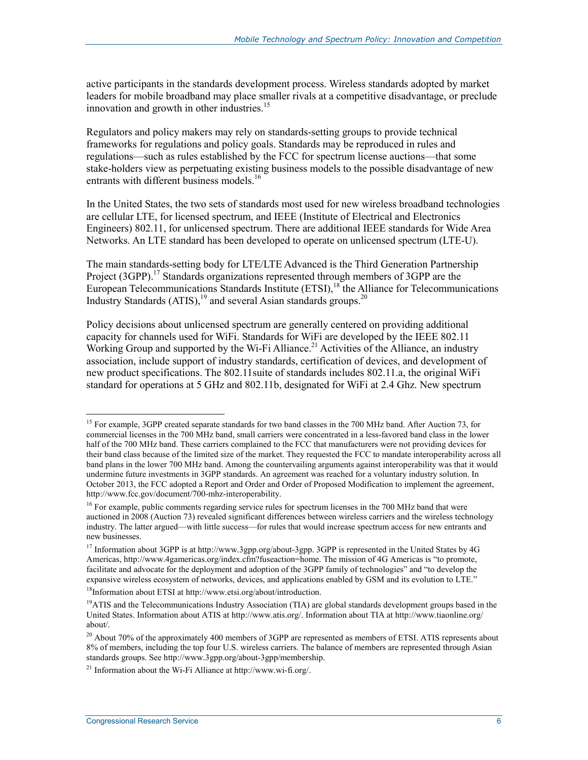active participants in the standards development process. Wireless standards adopted by market leaders for mobile broadband may place smaller rivals at a competitive disadvantage, or preclude innovation and growth in other industries.<sup>15</sup>

Regulators and policy makers may rely on standards-setting groups to provide technical frameworks for regulations and policy goals. Standards may be reproduced in rules and regulations—such as rules established by the FCC for spectrum license auctions—that some stake-holders view as perpetuating existing business models to the possible disadvantage of new entrants with different business models.<sup>16</sup>

In the United States, the two sets of standards most used for new wireless broadband technologies are cellular LTE, for licensed spectrum, and IEEE (Institute of Electrical and Electronics Engineers) 802.11, for unlicensed spectrum. There are additional IEEE standards for Wide Area Networks. An LTE standard has been developed to operate on unlicensed spectrum (LTE-U).

The main standards-setting body for LTE/LTE Advanced is the Third Generation Partnership Project (3GPP).<sup>17</sup> Standards organizations represented through members of 3GPP are the European Telecommunications Standards Institute (ETSI),<sup>18</sup> the Alliance for Telecommunications Industry Standards  $(ATIS)$ ,<sup>19</sup> and several Asian standards groups.<sup>20</sup>

Policy decisions about unlicensed spectrum are generally centered on providing additional capacity for channels used for WiFi. Standards for WiFi are developed by the IEEE 802.11 Working Group and supported by the Wi-Fi Alliance.<sup>21</sup> Activities of the Alliance, an industry association, include support of industry standards, certification of devices, and development of new product specifications. The 802.11suite of standards includes 802.11.a, the original WiFi standard for operations at 5 GHz and 802.11b, designated for WiFi at 2.4 Ghz. New spectrum

18Information about ETSI at http://www.etsi.org/about/introduction.

<sup>&</sup>lt;sup>15</sup> For example, 3GPP created separate standards for two band classes in the 700 MHz band. After Auction 73, for commercial licenses in the 700 MHz band, small carriers were concentrated in a less-favored band class in the lower half of the 700 MHz band. These carriers complained to the FCC that manufacturers were not providing devices for their band class because of the limited size of the market. They requested the FCC to mandate interoperability across all band plans in the lower 700 MHz band. Among the countervailing arguments against interoperability was that it would undermine future investments in 3GPP standards. An agreement was reached for a voluntary industry solution. In October 2013, the FCC adopted a Report and Order and Order of Proposed Modification to implement the agreement, http://www.fcc.gov/document/700-mhz-interoperability.

<sup>&</sup>lt;sup>16</sup> For example, public comments regarding service rules for spectrum licenses in the 700 MHz band that were auctioned in 2008 (Auction 73) revealed significant differences between wireless carriers and the wireless technology industry. The latter argued—with little success—for rules that would increase spectrum access for new entrants and new businesses.

<sup>&</sup>lt;sup>17</sup> Information about 3GPP is at http://www.3gpp.org/about-3gpp. 3GPP is represented in the United States by 4G Americas, http://www.4gamericas.org/index.cfm?fuseaction=home. The mission of 4G Americas is "to promote, facilitate and advocate for the deployment and adoption of the 3GPP family of technologies" and "to develop the expansive wireless ecosystem of networks, devices, and applications enabled by GSM and its evolution to LTE."

<sup>&</sup>lt;sup>19</sup>ATIS and the Telecommunications Industry Association (TIA) are global standards development groups based in the United States. Information about ATIS at http://www.atis.org/. Information about TIA at http://www.tiaonline.org/ about/.

<sup>&</sup>lt;sup>20</sup> About 70% of the approximately 400 members of 3GPP are represented as members of ETSI. ATIS represents about 8% of members, including the top four U.S. wireless carriers. The balance of members are represented through Asian standards groups. See http://www.3gpp.org/about-3gpp/membership.

<sup>21</sup> Information about the Wi-Fi Alliance at http://www.wi-fi.org/.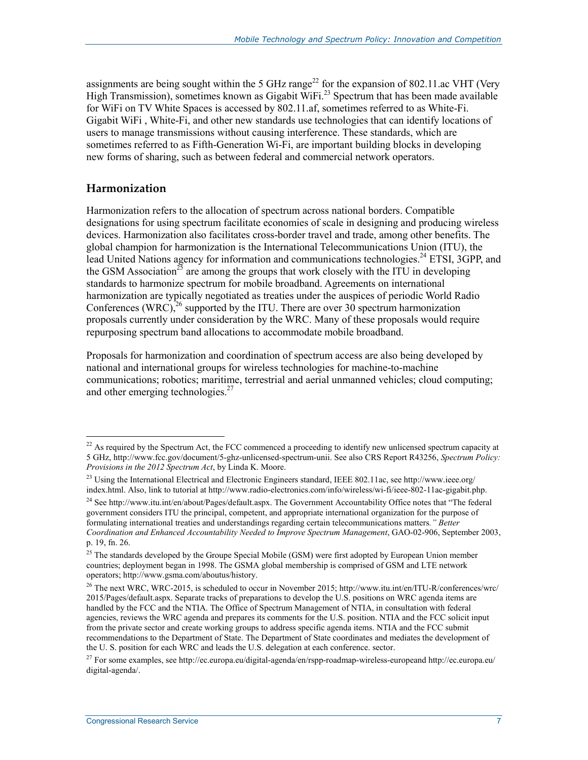assignments are being sought within the 5 GHz range<sup>22</sup> for the expansion of 802.11.ac VHT (Very High Transmission), sometimes known as Gigabit WiFi.<sup>23</sup> Spectrum that has been made available for WiFi on TV White Spaces is accessed by 802.11.af, sometimes referred to as White-Fi. Gigabit WiFi , White-Fi, and other new standards use technologies that can identify locations of users to manage transmissions without causing interference. These standards, which are sometimes referred to as Fifth-Generation Wi-Fi, are important building blocks in developing new forms of sharing, such as between federal and commercial network operators.

#### **Harmonization**

1

Harmonization refers to the allocation of spectrum across national borders. Compatible designations for using spectrum facilitate economies of scale in designing and producing wireless devices. Harmonization also facilitates cross-border travel and trade, among other benefits. The global champion for harmonization is the International Telecommunications Union (ITU), the lead United Nations agency for information and communications technologies.<sup>24</sup> ETSI, 3GPP, and the GSM Association<sup>25</sup> are among the groups that work closely with the ITU in developing standards to harmonize spectrum for mobile broadband. Agreements on international harmonization are typically negotiated as treaties under the auspices of periodic World Radio Conferences (WRC), <sup>26</sup> supported by the ITU. There are over 30 spectrum harmonization proposals currently under consideration by the WRC. Many of these proposals would require repurposing spectrum band allocations to accommodate mobile broadband.

Proposals for harmonization and coordination of spectrum access are also being developed by national and international groups for wireless technologies for machine-to-machine communications; robotics; maritime, terrestrial and aerial unmanned vehicles; cloud computing; and other emerging technologies.<sup>27</sup>

 $^{22}$  As required by the Spectrum Act, the FCC commenced a proceeding to identify new unlicensed spectrum capacity at 5 GHz, http://www.fcc.gov/document/5-ghz-unlicensed-spectrum-unii. See also CRS Report R43256, *Spectrum Policy: Provisions in the 2012 Spectrum Act*, by Linda K. Moore.

<sup>&</sup>lt;sup>23</sup> Using the International Electrical and Electronic Engineers standard, IEEE 802.11ac, see http://www.ieee.org/ index.html. Also, link to tutorial at http://www.radio-electronics.com/info/wireless/wi-fi/ieee-802-11ac-gigabit.php.

<sup>24</sup> See http://www.itu.int/en/about/Pages/default.aspx. The Government Accountability Office notes that "The federal government considers ITU the principal, competent, and appropriate international organization for the purpose of formulating international treaties and understandings regarding certain telecommunications matters*." Better Coordination and Enhanced Accountability Needed to Improve Spectrum Management*, GAO-02-906, September 2003, p. 19, fn. 26.

<sup>&</sup>lt;sup>25</sup> The standards developed by the Groupe Special Mobile (GSM) were first adopted by European Union member countries; deployment began in 1998. The GSMA global membership is comprised of GSM and LTE network operators; http://www.gsma.com/aboutus/history.

<sup>&</sup>lt;sup>26</sup> The next WRC, WRC-2015, is scheduled to occur in November 2015; http://www.itu.int/en/ITU-R/conferences/wrc/ 2015/Pages/default.aspx. Separate tracks of preparations to develop the U.S. positions on WRC agenda items are handled by the FCC and the NTIA. The Office of Spectrum Management of NTIA, in consultation with federal agencies, reviews the WRC agenda and prepares its comments for the U.S. position. NTIA and the FCC solicit input from the private sector and create working groups to address specific agenda items. NTIA and the FCC submit recommendations to the Department of State. The Department of State coordinates and mediates the development of the U. S. position for each WRC and leads the U.S. delegation at each conference. sector.

 $^{27}$  For some examples, see http://ec.europa.eu/digital-agenda/en/rspp-roadmap-wireless-europeand http://ec.europa.eu/ digital-agenda/.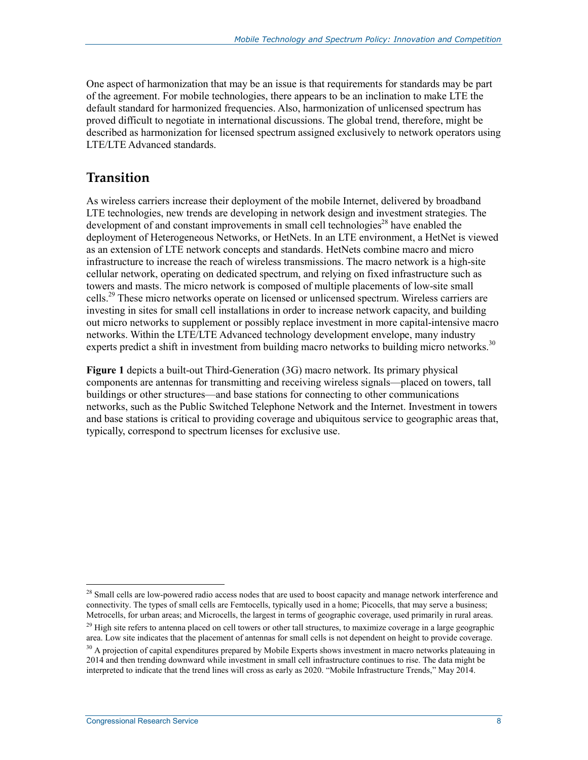One aspect of harmonization that may be an issue is that requirements for standards may be part of the agreement. For mobile technologies, there appears to be an inclination to make LTE the default standard for harmonized frequencies. Also, harmonization of unlicensed spectrum has proved difficult to negotiate in international discussions. The global trend, therefore, might be described as harmonization for licensed spectrum assigned exclusively to network operators using LTE/LTE Advanced standards.

### **Transition**

As wireless carriers increase their deployment of the mobile Internet, delivered by broadband LTE technologies, new trends are developing in network design and investment strategies. The development of and constant improvements in small cell technologies<sup>28</sup> have enabled the deployment of Heterogeneous Networks, or HetNets. In an LTE environment, a HetNet is viewed as an extension of LTE network concepts and standards. HetNets combine macro and micro infrastructure to increase the reach of wireless transmissions. The macro network is a high-site cellular network, operating on dedicated spectrum, and relying on fixed infrastructure such as towers and masts. The micro network is composed of multiple placements of low-site small cells.29 These micro networks operate on licensed or unlicensed spectrum. Wireless carriers are investing in sites for small cell installations in order to increase network capacity, and building out micro networks to supplement or possibly replace investment in more capital-intensive macro networks. Within the LTE/LTE Advanced technology development envelope, many industry experts predict a shift in investment from building macro networks to building micro networks.<sup>30</sup>

**Figure 1** depicts a built-out Third-Generation (3G) macro network. Its primary physical components are antennas for transmitting and receiving wireless signals—placed on towers, tall buildings or other structures—and base stations for connecting to other communications networks, such as the Public Switched Telephone Network and the Internet. Investment in towers and base stations is critical to providing coverage and ubiquitous service to geographic areas that, typically, correspond to spectrum licenses for exclusive use.

<sup>&</sup>lt;sup>28</sup> Small cells are low-powered radio access nodes that are used to boost capacity and manage network interference and connectivity. The types of small cells are Femtocells, typically used in a home; Picocells, that may serve a business; Metrocells, for urban areas; and Microcells, the largest in terms of geographic coverage, used primarily in rural areas.

 $29$  High site refers to antenna placed on cell towers or other tall structures, to maximize coverage in a large geographic area. Low site indicates that the placement of antennas for small cells is not dependent on height to provide coverage.

<sup>&</sup>lt;sup>30</sup> A projection of capital expenditures prepared by Mobile Experts shows investment in macro networks plateauing in 2014 and then trending downward while investment in small cell infrastructure continues to rise. The data might be interpreted to indicate that the trend lines will cross as early as 2020. "Mobile Infrastructure Trends," May 2014.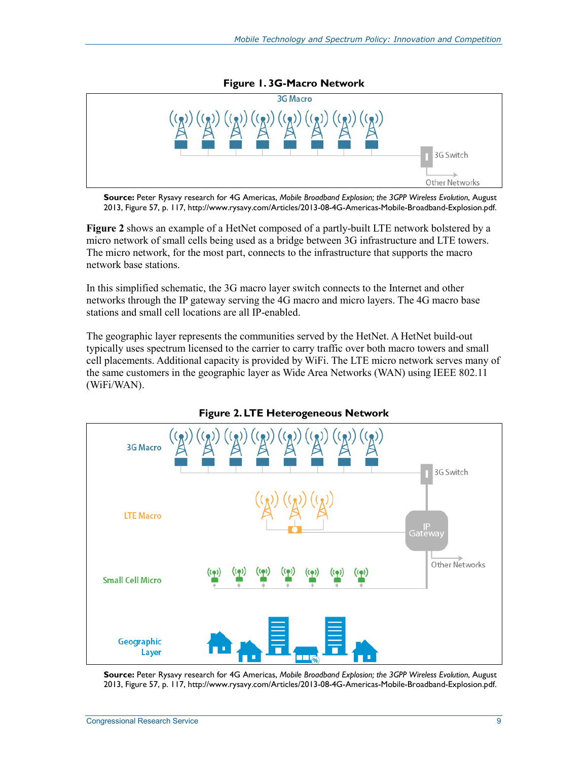

**Source:** Peter Rysavy research for 4G Americas, *Mobile Broadband Explosion; the 3GPP Wireless Evolution*, August 2013, Figure 57, p. 117, http://www.rysavy.com/Articles/2013-08-4G-Americas-Mobile-Broadband-Explosion.pdf.

**Figure 2** shows an example of a HetNet composed of a partly-built LTE network bolstered by a micro network of small cells being used as a bridge between 3G infrastructure and LTE towers. The micro network, for the most part, connects to the infrastructure that supports the macro network base stations.

In this simplified schematic, the 3G macro layer switch connects to the Internet and other networks through the IP gateway serving the 4G macro and micro layers. The 4G macro base stations and small cell locations are all IP-enabled.

The geographic layer represents the communities served by the HetNet. A HetNet build-out typically uses spectrum licensed to the carrier to carry traffic over both macro towers and small cell placements. Additional capacity is provided by WiFi. The LTE micro network serves many of the same customers in the geographic layer as Wide Area Networks (WAN) using IEEE 802.11 (WiFi/WAN).



**Figure 2. LTE Heterogeneous Network** 

**Source:** Peter Rysavy research for 4G Americas, *Mobile Broadband Explosion; the 3GPP Wireless Evolution*, August 2013, Figure 57, p. 117, http://www.rysavy.com/Articles/2013-08-4G-Americas-Mobile-Broadband-Explosion.pdf.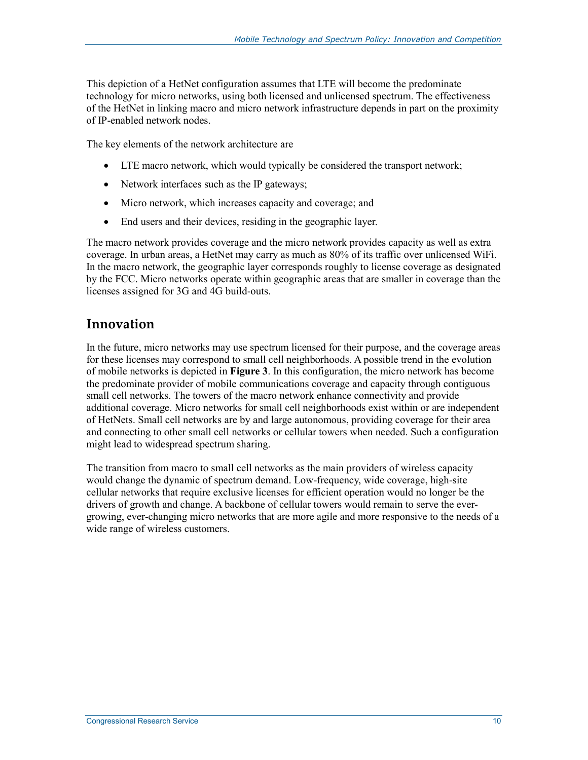This depiction of a HetNet configuration assumes that LTE will become the predominate technology for micro networks, using both licensed and unlicensed spectrum. The effectiveness of the HetNet in linking macro and micro network infrastructure depends in part on the proximity of IP-enabled network nodes.

The key elements of the network architecture are

- LTE macro network, which would typically be considered the transport network;
- Network interfaces such as the IP gateways;
- Micro network, which increases capacity and coverage; and
- End users and their devices, residing in the geographic layer.

The macro network provides coverage and the micro network provides capacity as well as extra coverage. In urban areas, a HetNet may carry as much as 80% of its traffic over unlicensed WiFi. In the macro network, the geographic layer corresponds roughly to license coverage as designated by the FCC. Micro networks operate within geographic areas that are smaller in coverage than the licenses assigned for 3G and 4G build-outs.

#### **Innovation**

In the future, micro networks may use spectrum licensed for their purpose, and the coverage areas for these licenses may correspond to small cell neighborhoods. A possible trend in the evolution of mobile networks is depicted in **Figure 3**. In this configuration, the micro network has become the predominate provider of mobile communications coverage and capacity through contiguous small cell networks. The towers of the macro network enhance connectivity and provide additional coverage. Micro networks for small cell neighborhoods exist within or are independent of HetNets. Small cell networks are by and large autonomous, providing coverage for their area and connecting to other small cell networks or cellular towers when needed. Such a configuration might lead to widespread spectrum sharing.

The transition from macro to small cell networks as the main providers of wireless capacity would change the dynamic of spectrum demand. Low-frequency, wide coverage, high-site cellular networks that require exclusive licenses for efficient operation would no longer be the drivers of growth and change. A backbone of cellular towers would remain to serve the evergrowing, ever-changing micro networks that are more agile and more responsive to the needs of a wide range of wireless customers.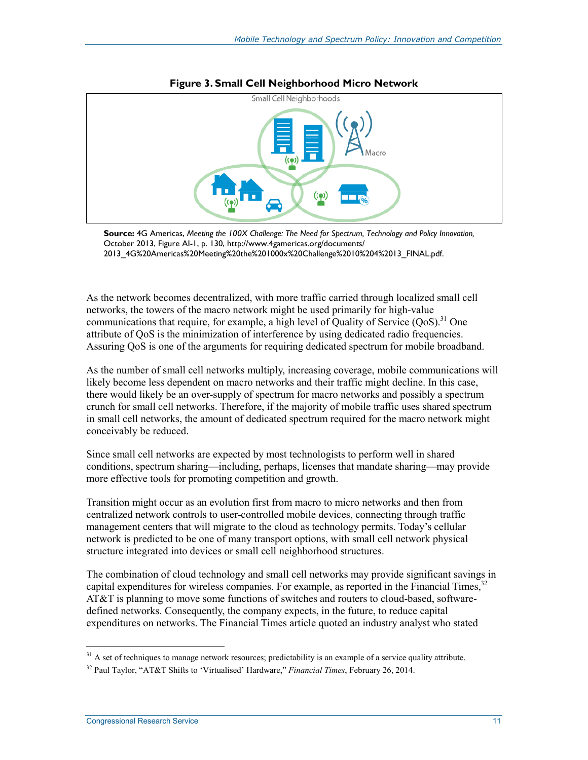



**Source:** 4G Americas, *Meeting the 100X Challenge: The Need for Spectrum, Technology and Policy Innovation,* October 2013, Figure AI-1, p. 130, http://www.4gamericas.org/documents/ 2013\_4G%20Americas%20Meeting%20the%201000x%20Challenge%2010%204%2013\_FINAL.pdf.

As the network becomes decentralized, with more traffic carried through localized small cell networks, the towers of the macro network might be used primarily for high-value communications that require, for example, a high level of Quality of Service  $(QoS)^{31}$  One attribute of QoS is the minimization of interference by using dedicated radio frequencies. Assuring QoS is one of the arguments for requiring dedicated spectrum for mobile broadband.

As the number of small cell networks multiply, increasing coverage, mobile communications will likely become less dependent on macro networks and their traffic might decline. In this case, there would likely be an over-supply of spectrum for macro networks and possibly a spectrum crunch for small cell networks. Therefore, if the majority of mobile traffic uses shared spectrum in small cell networks, the amount of dedicated spectrum required for the macro network might conceivably be reduced.

Since small cell networks are expected by most technologists to perform well in shared conditions, spectrum sharing—including, perhaps, licenses that mandate sharing—may provide more effective tools for promoting competition and growth.

Transition might occur as an evolution first from macro to micro networks and then from centralized network controls to user-controlled mobile devices, connecting through traffic management centers that will migrate to the cloud as technology permits. Today's cellular network is predicted to be one of many transport options, with small cell network physical structure integrated into devices or small cell neighborhood structures.

The combination of cloud technology and small cell networks may provide significant savings in capital expenditures for wireless companies. For example, as reported in the Financial Times,<sup>32</sup> AT&T is planning to move some functions of switches and routers to cloud-based, softwaredefined networks. Consequently, the company expects, in the future, to reduce capital expenditures on networks. The Financial Times article quoted an industry analyst who stated

<sup>1</sup>  $31$  A set of techniques to manage network resources; predictability is an example of a service quality attribute.

<sup>32</sup> Paul Taylor, "AT&T Shifts to 'Virtualised' Hardware," *Financial Times*, February 26, 2014.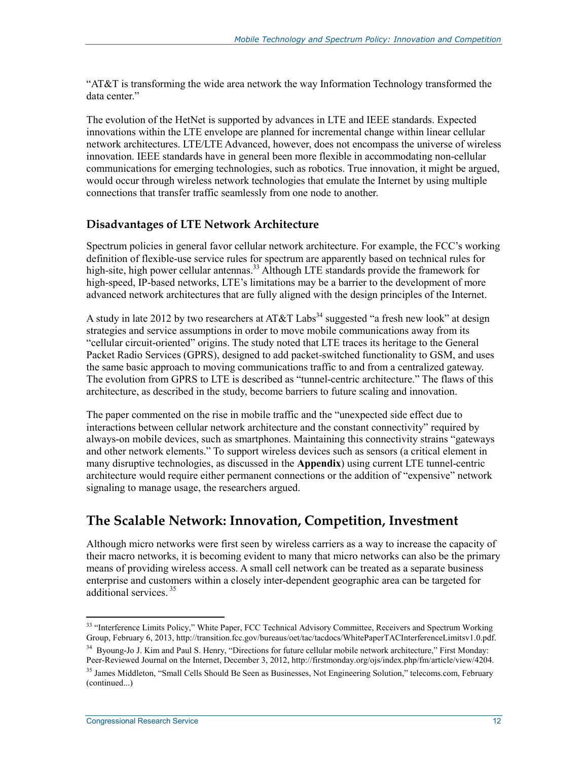"AT&T is transforming the wide area network the way Information Technology transformed the data center."

The evolution of the HetNet is supported by advances in LTE and IEEE standards. Expected innovations within the LTE envelope are planned for incremental change within linear cellular network architectures. LTE/LTE Advanced, however, does not encompass the universe of wireless innovation. IEEE standards have in general been more flexible in accommodating non-cellular communications for emerging technologies, such as robotics. True innovation, it might be argued, would occur through wireless network technologies that emulate the Internet by using multiple connections that transfer traffic seamlessly from one node to another.

#### **Disadvantages of LTE Network Architecture**

Spectrum policies in general favor cellular network architecture. For example, the FCC's working definition of flexible-use service rules for spectrum are apparently based on technical rules for high-site, high power cellular antennas.<sup>33</sup> Although LTE standards provide the framework for high-speed, IP-based networks, LTE's limitations may be a barrier to the development of more advanced network architectures that are fully aligned with the design principles of the Internet.

A study in late 2012 by two researchers at AT&T Labs<sup>34</sup> suggested "a fresh new look" at design strategies and service assumptions in order to move mobile communications away from its "cellular circuit-oriented" origins. The study noted that LTE traces its heritage to the General Packet Radio Services (GPRS), designed to add packet-switched functionality to GSM, and uses the same basic approach to moving communications traffic to and from a centralized gateway. The evolution from GPRS to LTE is described as "tunnel-centric architecture." The flaws of this architecture, as described in the study, become barriers to future scaling and innovation.

The paper commented on the rise in mobile traffic and the "unexpected side effect due to interactions between cellular network architecture and the constant connectivity" required by always-on mobile devices, such as smartphones. Maintaining this connectivity strains "gateways and other network elements." To support wireless devices such as sensors (a critical element in many disruptive technologies, as discussed in the **Appendix**) using current LTE tunnel-centric architecture would require either permanent connections or the addition of "expensive" network signaling to manage usage, the researchers argued.

## **The Scalable Network: Innovation, Competition, Investment**

Although micro networks were first seen by wireless carriers as a way to increase the capacity of their macro networks, it is becoming evident to many that micro networks can also be the primary means of providing wireless access. A small cell network can be treated as a separate business enterprise and customers within a closely inter-dependent geographic area can be targeted for additional services.<sup>35</sup>

<sup>&</sup>lt;sup>33</sup> "Interference Limits Policy," White Paper, FCC Technical Advisory Committee, Receivers and Spectrum Working Group, February 6, 2013, http://transition.fcc.gov/bureaus/oet/tac/tacdocs/WhitePaperTACInterferenceLimitsv1.0.pdf.

<sup>&</sup>lt;sup>34</sup> Byoung-Jo J. Kim and Paul S. Henry, "Directions for future cellular mobile network architecture," First Monday: Peer-Reviewed Journal on the Internet, December 3, 2012, http://firstmonday.org/ojs/index.php/fm/article/view/4204.

<sup>&</sup>lt;sup>35</sup> James Middleton, "Small Cells Should Be Seen as Businesses, Not Engineering Solution," telecoms.com, February (continued...)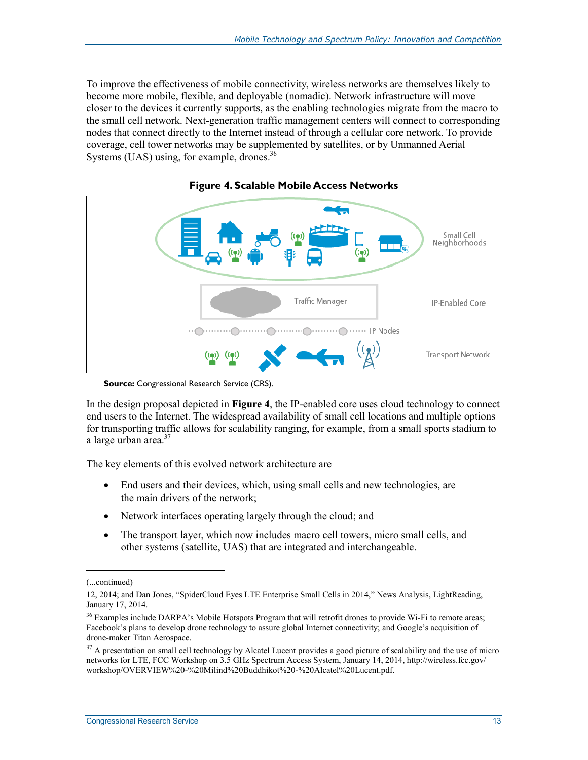To improve the effectiveness of mobile connectivity, wireless networks are themselves likely to become more mobile, flexible, and deployable (nomadic). Network infrastructure will move closer to the devices it currently supports, as the enabling technologies migrate from the macro to the small cell network. Next-generation traffic management centers will connect to corresponding nodes that connect directly to the Internet instead of through a cellular core network. To provide coverage, cell tower networks may be supplemented by satellites, or by Unmanned Aerial Systems (UAS) using, for example, drones. $36$ 



**Figure 4. Scalable Mobile Access Networks** 

**Source:** Congressional Research Service (CRS).

In the design proposal depicted in **Figure 4**, the IP-enabled core uses cloud technology to connect end users to the Internet. The widespread availability of small cell locations and multiple options for transporting traffic allows for scalability ranging, for example, from a small sports stadium to a large urban area.<sup>37</sup>

The key elements of this evolved network architecture are

- End users and their devices, which, using small cells and new technologies, are the main drivers of the network;
- Network interfaces operating largely through the cloud; and
- The transport layer, which now includes macro cell towers, micro small cells, and other systems (satellite, UAS) that are integrated and interchangeable.

 $\overline{a}$ 

<sup>(...</sup>continued)

<sup>12, 2014;</sup> and Dan Jones, "SpiderCloud Eyes LTE Enterprise Small Cells in 2014," News Analysis, LightReading, January 17, 2014.

<sup>&</sup>lt;sup>36</sup> Examples include DARPA's Mobile Hotspots Program that will retrofit drones to provide Wi-Fi to remote areas; Facebook's plans to develop drone technology to assure global Internet connectivity; and Google's acquisition of drone-maker Titan Aerospace.

<sup>&</sup>lt;sup>37</sup> A presentation on small cell technology by Alcatel Lucent provides a good picture of scalability and the use of micro networks for LTE, FCC Workshop on 3.5 GHz Spectrum Access System, January 14, 2014, http://wireless.fcc.gov/ workshop/OVERVIEW%20-%20Milind%20Buddhikot%20-%20Alcatel%20Lucent.pdf.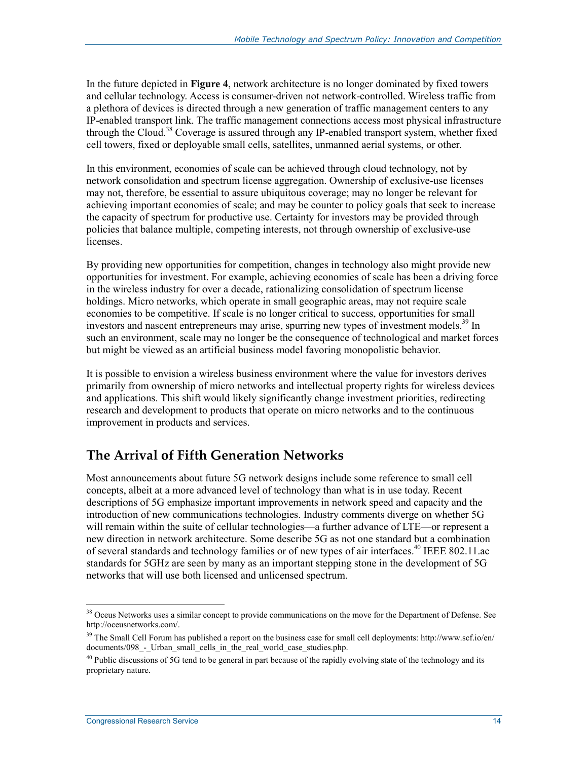In the future depicted in **Figure 4**, network architecture is no longer dominated by fixed towers and cellular technology. Access is consumer-driven not network-controlled. Wireless traffic from a plethora of devices is directed through a new generation of traffic management centers to any IP-enabled transport link. The traffic management connections access most physical infrastructure through the Cloud.<sup>38</sup> Coverage is assured through any IP-enabled transport system, whether fixed cell towers, fixed or deployable small cells, satellites, unmanned aerial systems, or other.

In this environment, economies of scale can be achieved through cloud technology, not by network consolidation and spectrum license aggregation. Ownership of exclusive-use licenses may not, therefore, be essential to assure ubiquitous coverage; may no longer be relevant for achieving important economies of scale; and may be counter to policy goals that seek to increase the capacity of spectrum for productive use. Certainty for investors may be provided through policies that balance multiple, competing interests, not through ownership of exclusive-use licenses.

By providing new opportunities for competition, changes in technology also might provide new opportunities for investment. For example, achieving economies of scale has been a driving force in the wireless industry for over a decade, rationalizing consolidation of spectrum license holdings. Micro networks, which operate in small geographic areas, may not require scale economies to be competitive. If scale is no longer critical to success, opportunities for small investors and nascent entrepreneurs may arise, spurring new types of investment models.<sup>39</sup> In such an environment, scale may no longer be the consequence of technological and market forces but might be viewed as an artificial business model favoring monopolistic behavior.

It is possible to envision a wireless business environment where the value for investors derives primarily from ownership of micro networks and intellectual property rights for wireless devices and applications. This shift would likely significantly change investment priorities, redirecting research and development to products that operate on micro networks and to the continuous improvement in products and services.

## **The Arrival of Fifth Generation Networks**

Most announcements about future 5G network designs include some reference to small cell concepts, albeit at a more advanced level of technology than what is in use today. Recent descriptions of 5G emphasize important improvements in network speed and capacity and the introduction of new communications technologies. Industry comments diverge on whether 5G will remain within the suite of cellular technologies—a further advance of LTE—or represent a new direction in network architecture. Some describe 5G as not one standard but a combination of several standards and technology families or of new types of air interfaces.<sup>40</sup> IEEE 802.11.ac standards for 5GHz are seen by many as an important stepping stone in the development of 5G networks that will use both licensed and unlicensed spectrum.

<sup>1</sup> <sup>38</sup> Oceus Networks uses a similar concept to provide communications on the move for the Department of Defense. See http://oceusnetworks.com/.

 $39$  The Small Cell Forum has published a report on the business case for small cell deployments: http://www.scf.io/en/ documents/098\_-\_Urban\_small\_cells\_in\_the\_real\_world\_case\_studies.php.

 $40$  Public discussions of 5G tend to be general in part because of the rapidly evolving state of the technology and its proprietary nature.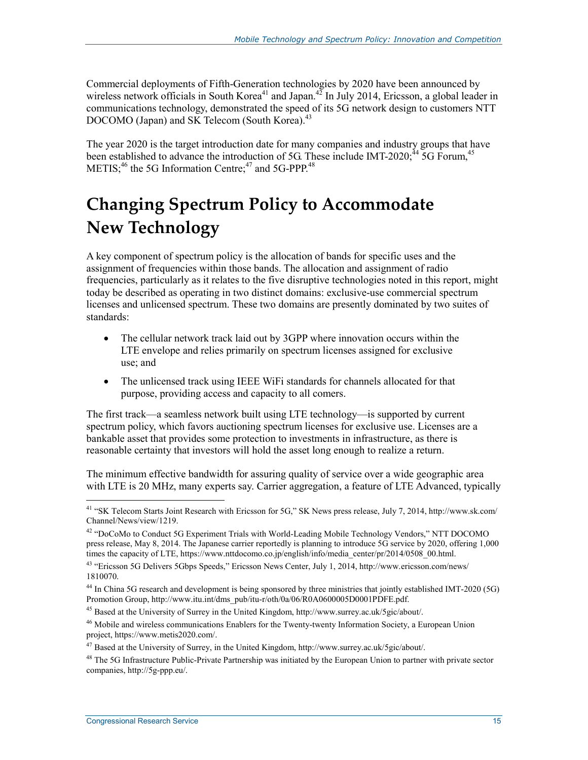Commercial deployments of Fifth-Generation technologies by 2020 have been announced by wireless network officials in South Korea<sup>41</sup> and Japan.<sup>42</sup> In July 2014, Ericsson, a global leader in communications technology, demonstrated the speed of its 5G network design to customers NTT DOCOMO (Japan) and SK Telecom (South Korea).<sup>43</sup>

The year 2020 is the target introduction date for many companies and industry groups that have been established to advance the introduction of 5G. These include IMT-2020;<sup>44</sup> 5G Forum,<sup>45</sup> METIS; $46$  the 5G Information Centre; $47$  and 5G-PPP. $48$ 

## **Changing Spectrum Policy to Accommodate New Technology**

A key component of spectrum policy is the allocation of bands for specific uses and the assignment of frequencies within those bands. The allocation and assignment of radio frequencies, particularly as it relates to the five disruptive technologies noted in this report, might today be described as operating in two distinct domains: exclusive-use commercial spectrum licenses and unlicensed spectrum. These two domains are presently dominated by two suites of standards:

- The cellular network track laid out by 3GPP where innovation occurs within the LTE envelope and relies primarily on spectrum licenses assigned for exclusive use; and
- The unlicensed track using IEEE WiFi standards for channels allocated for that purpose, providing access and capacity to all comers.

The first track—a seamless network built using LTE technology—is supported by current spectrum policy, which favors auctioning spectrum licenses for exclusive use. Licenses are a bankable asset that provides some protection to investments in infrastructure, as there is reasonable certainty that investors will hold the asset long enough to realize a return.

The minimum effective bandwidth for assuring quality of service over a wide geographic area with LTE is 20 MHz, many experts say. Carrier aggregation, a feature of LTE Advanced, typically

<sup>41 &</sup>quot;SK Telecom Starts Joint Research with Ericsson for 5G," SK News press release, July 7, 2014, http://www.sk.com/ Channel/News/view/1219.

<sup>42 &</sup>quot;DoCoMo to Conduct 5G Experiment Trials with World-Leading Mobile Technology Vendors," NTT DOCOMO press release, May 8, 2014. The Japanese carrier reportedly is planning to introduce 5G service by 2020, offering 1,000 times the capacity of LTE, https://www.nttdocomo.co.jp/english/info/media\_center/pr/2014/0508\_00.html.

<sup>43 &</sup>quot;Ericsson 5G Delivers 5Gbps Speeds," Ericsson News Center, July 1, 2014, http://www.ericsson.com/news/ 1810070.

<sup>&</sup>lt;sup>44</sup> In China 5G research and development is being sponsored by three ministries that jointly established IMT-2020 (5G) Promotion Group, http://www.itu.int/dms\_pub/itu-r/oth/0a/06/R0A0600005D0001PDFE.pdf.

<sup>45</sup> Based at the University of Surrey in the United Kingdom, http://www.surrey.ac.uk/5gic/about/.

<sup>&</sup>lt;sup>46</sup> Mobile and wireless communications Enablers for the Twenty-twenty Information Society, a European Union project, https://www.metis2020.com/.

<sup>47</sup> Based at the University of Surrey, in the United Kingdom, http://www.surrey.ac.uk/5gic/about/.

 $48$  The 5G Infrastructure Public-Private Partnership was initiated by the European Union to partner with private sector companies, http://5g-ppp.eu/.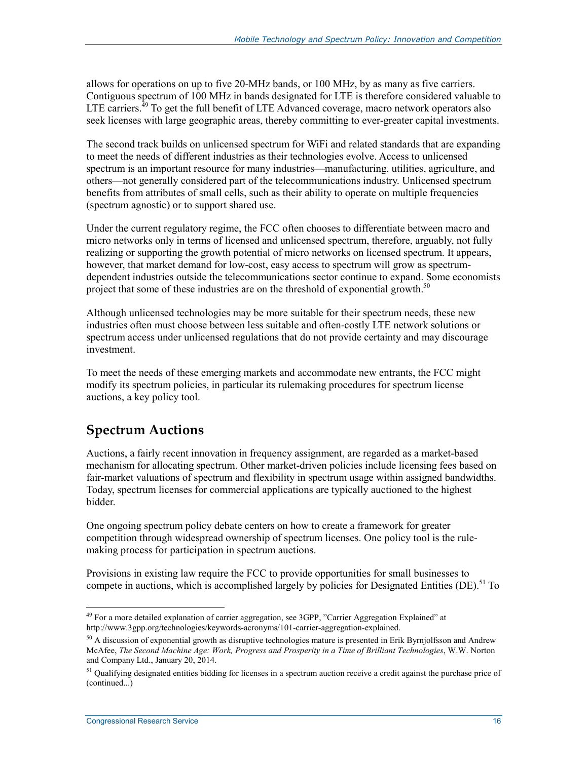allows for operations on up to five 20-MHz bands, or 100 MHz, by as many as five carriers. Contiguous spectrum of 100 MHz in bands designated for LTE is therefore considered valuable to LTE carriers. $^{49}$  To get the full benefit of LTE Advanced coverage, macro network operators also seek licenses with large geographic areas, thereby committing to ever-greater capital investments.

The second track builds on unlicensed spectrum for WiFi and related standards that are expanding to meet the needs of different industries as their technologies evolve. Access to unlicensed spectrum is an important resource for many industries—manufacturing, utilities, agriculture, and others—not generally considered part of the telecommunications industry. Unlicensed spectrum benefits from attributes of small cells, such as their ability to operate on multiple frequencies (spectrum agnostic) or to support shared use.

Under the current regulatory regime, the FCC often chooses to differentiate between macro and micro networks only in terms of licensed and unlicensed spectrum, therefore, arguably, not fully realizing or supporting the growth potential of micro networks on licensed spectrum. It appears, however, that market demand for low-cost, easy access to spectrum will grow as spectrumdependent industries outside the telecommunications sector continue to expand. Some economists project that some of these industries are on the threshold of exponential growth.<sup>50</sup>

Although unlicensed technologies may be more suitable for their spectrum needs, these new industries often must choose between less suitable and often-costly LTE network solutions or spectrum access under unlicensed regulations that do not provide certainty and may discourage investment.

To meet the needs of these emerging markets and accommodate new entrants, the FCC might modify its spectrum policies, in particular its rulemaking procedures for spectrum license auctions, a key policy tool.

## **Spectrum Auctions**

Auctions, a fairly recent innovation in frequency assignment, are regarded as a market-based mechanism for allocating spectrum. Other market-driven policies include licensing fees based on fair-market valuations of spectrum and flexibility in spectrum usage within assigned bandwidths. Today, spectrum licenses for commercial applications are typically auctioned to the highest bidder.

One ongoing spectrum policy debate centers on how to create a framework for greater competition through widespread ownership of spectrum licenses. One policy tool is the rulemaking process for participation in spectrum auctions.

Provisions in existing law require the FCC to provide opportunities for small businesses to compete in auctions, which is accomplished largely by policies for Designated Entities (DE).<sup>51</sup> To

<sup>1</sup> <sup>49</sup> For a more detailed explanation of carrier aggregation, see 3GPP, "Carrier Aggregation Explained" at http://www.3gpp.org/technologies/keywords-acronyms/101-carrier-aggregation-explained.

 $50$  A discussion of exponential growth as disruptive technologies mature is presented in Erik Byrnjolfsson and Andrew McAfee, *The Second Machine Age: Work, Progress and Prosperity in a Time of Brilliant Technologies*, W.W. Norton and Company Ltd., January 20, 2014.

 $<sup>51</sup>$  Qualifying designated entities bidding for licenses in a spectrum auction receive a credit against the purchase price of</sup> (continued...)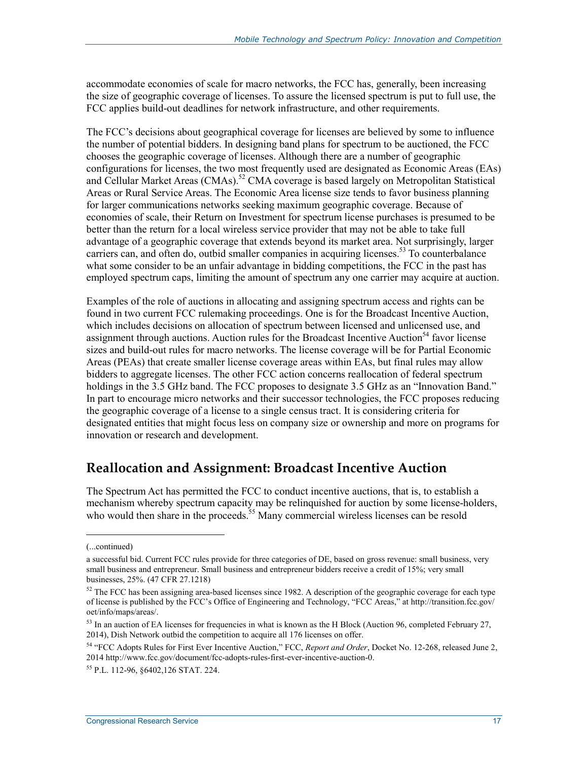accommodate economies of scale for macro networks, the FCC has, generally, been increasing the size of geographic coverage of licenses. To assure the licensed spectrum is put to full use, the FCC applies build-out deadlines for network infrastructure, and other requirements.

The FCC's decisions about geographical coverage for licenses are believed by some to influence the number of potential bidders. In designing band plans for spectrum to be auctioned, the FCC chooses the geographic coverage of licenses. Although there are a number of geographic configurations for licenses, the two most frequently used are designated as Economic Areas (EAs) and Cellular Market Areas  $(CMAs)$ .<sup>52</sup> CMA coverage is based largely on Metropolitan Statistical Areas or Rural Service Areas. The Economic Area license size tends to favor business planning for larger communications networks seeking maximum geographic coverage. Because of economies of scale, their Return on Investment for spectrum license purchases is presumed to be better than the return for a local wireless service provider that may not be able to take full advantage of a geographic coverage that extends beyond its market area. Not surprisingly, larger carriers can, and often do, outbid smaller companies in acquiring licenses.<sup>53</sup> To counterbalance what some consider to be an unfair advantage in bidding competitions, the FCC in the past has employed spectrum caps, limiting the amount of spectrum any one carrier may acquire at auction.

Examples of the role of auctions in allocating and assigning spectrum access and rights can be found in two current FCC rulemaking proceedings. One is for the Broadcast Incentive Auction, which includes decisions on allocation of spectrum between licensed and unlicensed use, and assignment through auctions. Auction rules for the Broadcast Incentive Auction<sup>54</sup> favor license sizes and build-out rules for macro networks. The license coverage will be for Partial Economic Areas (PEAs) that create smaller license coverage areas within EAs, but final rules may allow bidders to aggregate licenses. The other FCC action concerns reallocation of federal spectrum holdings in the 3.5 GHz band. The FCC proposes to designate 3.5 GHz as an "Innovation Band." In part to encourage micro networks and their successor technologies, the FCC proposes reducing the geographic coverage of a license to a single census tract. It is considering criteria for designated entities that might focus less on company size or ownership and more on programs for innovation or research and development.

## **Reallocation and Assignment: Broadcast Incentive Auction**

The Spectrum Act has permitted the FCC to conduct incentive auctions, that is, to establish a mechanism whereby spectrum capacity may be relinquished for auction by some license-holders, who would then share in the proceeds.<sup>55</sup> Many commercial wireless licenses can be resold

<sup>(...</sup>continued)

a successful bid. Current FCC rules provide for three categories of DE, based on gross revenue: small business, very small business and entrepreneur. Small business and entrepreneur bidders receive a credit of 15%; very small businesses, 25%. (47 CFR 27.1218)

<sup>&</sup>lt;sup>52</sup> The FCC has been assigning area-based licenses since 1982. A description of the geographic coverage for each type of license is published by the FCC's Office of Engineering and Technology, "FCC Areas," at http://transition.fcc.gov/ oet/info/maps/areas/.

 $53$  In an auction of EA licenses for frequencies in what is known as the H Block (Auction 96, completed February 27, 2014), Dish Network outbid the competition to acquire all 176 licenses on offer.

<sup>54 &</sup>quot;FCC Adopts Rules for First Ever Incentive Auction," FCC, *Report and Order*, Docket No. 12-268, released June 2, 2014 http://www.fcc.gov/document/fcc-adopts-rules-first-ever-incentive-auction-0.

<sup>55</sup> P.L. 112-96, §6402,126 STAT. 224.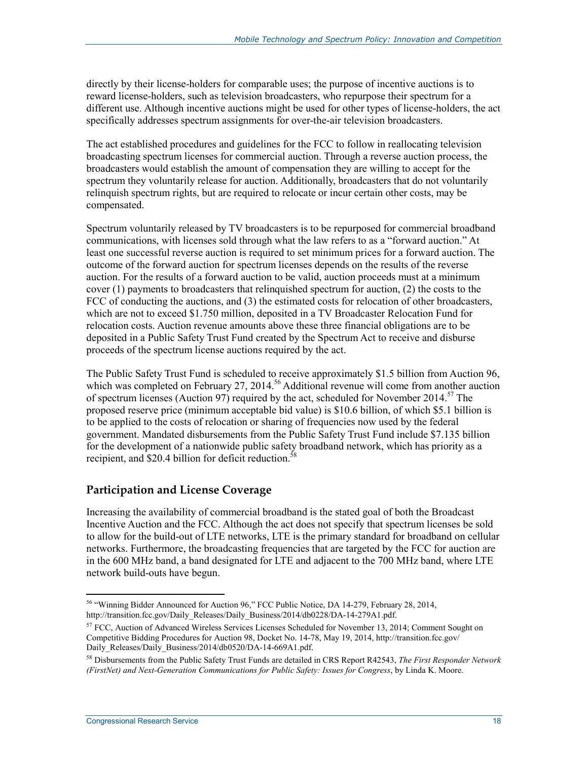directly by their license-holders for comparable uses; the purpose of incentive auctions is to reward license-holders, such as television broadcasters, who repurpose their spectrum for a different use. Although incentive auctions might be used for other types of license-holders, the act specifically addresses spectrum assignments for over-the-air television broadcasters.

The act established procedures and guidelines for the FCC to follow in reallocating television broadcasting spectrum licenses for commercial auction. Through a reverse auction process, the broadcasters would establish the amount of compensation they are willing to accept for the spectrum they voluntarily release for auction. Additionally, broadcasters that do not voluntarily relinquish spectrum rights, but are required to relocate or incur certain other costs, may be compensated.

Spectrum voluntarily released by TV broadcasters is to be repurposed for commercial broadband communications, with licenses sold through what the law refers to as a "forward auction." At least one successful reverse auction is required to set minimum prices for a forward auction. The outcome of the forward auction for spectrum licenses depends on the results of the reverse auction. For the results of a forward auction to be valid, auction proceeds must at a minimum cover (1) payments to broadcasters that relinquished spectrum for auction, (2) the costs to the FCC of conducting the auctions, and (3) the estimated costs for relocation of other broadcasters, which are not to exceed \$1.750 million, deposited in a TV Broadcaster Relocation Fund for relocation costs. Auction revenue amounts above these three financial obligations are to be deposited in a Public Safety Trust Fund created by the Spectrum Act to receive and disburse proceeds of the spectrum license auctions required by the act.

The Public Safety Trust Fund is scheduled to receive approximately \$1.5 billion from Auction 96, which was completed on February 27, 2014.<sup>56</sup> Additional revenue will come from another auction of spectrum licenses (Auction 97) required by the act, scheduled for November 2014.<sup>57</sup> The proposed reserve price (minimum acceptable bid value) is \$10.6 billion, of which \$5.1 billion is to be applied to the costs of relocation or sharing of frequencies now used by the federal government. Mandated disbursements from the Public Safety Trust Fund include \$7.135 billion for the development of a nationwide public safety broadband network, which has priority as a recipient, and \$20.4 billion for deficit reduction.<sup>58</sup>

#### **Participation and License Coverage**

Increasing the availability of commercial broadband is the stated goal of both the Broadcast Incentive Auction and the FCC. Although the act does not specify that spectrum licenses be sold to allow for the build-out of LTE networks, LTE is the primary standard for broadband on cellular networks. Furthermore, the broadcasting frequencies that are targeted by the FCC for auction are in the 600 MHz band, a band designated for LTE and adjacent to the 700 MHz band, where LTE network build-outs have begun.

<sup>1</sup> <sup>56</sup> "Winning Bidder Announced for Auction 96," FCC Public Notice, DA 14-279, February 28, 2014, http://transition.fcc.gov/Daily\_Releases/Daily\_Business/2014/db0228/DA-14-279A1.pdf.

 $57$  FCC, Auction of Advanced Wireless Services Licenses Scheduled for November 13, 2014; Comment Sought on Competitive Bidding Procedures for Auction 98, Docket No. 14-78, May 19, 2014, http://transition.fcc.gov/ Daily\_Releases/Daily\_Business/2014/db0520/DA-14-669A1.pdf.

<sup>58</sup> Disbursements from the Public Safety Trust Funds are detailed in CRS Report R42543, *The First Responder Network (FirstNet) and Next-Generation Communications for Public Safety: Issues for Congress*, by Linda K. Moore.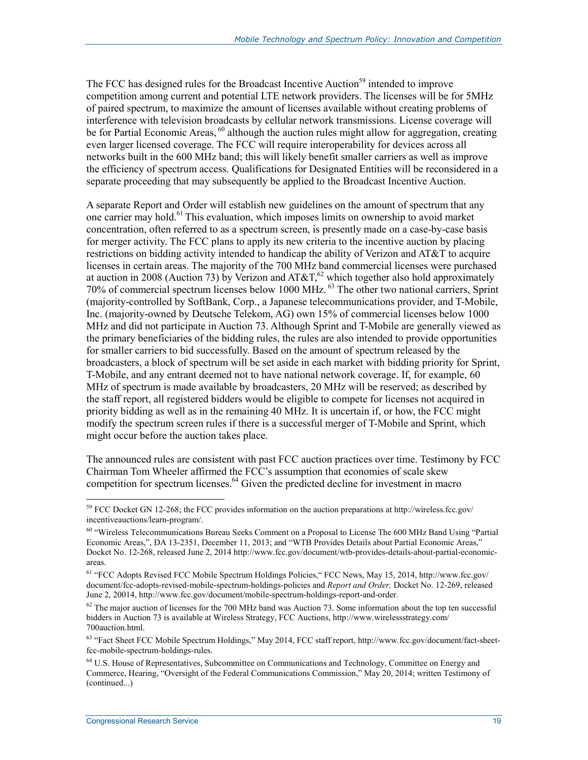The FCC has designed rules for the Broadcast Incentive Auction<sup>59</sup> intended to improve competition among current and potential LTE network providers. The licenses will be for 5MHz of paired spectrum, to maximize the amount of licenses available without creating problems of interference with television broadcasts by cellular network transmissions. License coverage will be for Partial Economic Areas, <sup>60</sup> although the auction rules might allow for aggregation, creating even larger licensed coverage. The FCC will require interoperability for devices across all networks built in the 600 MHz band; this will likely benefit smaller carriers as well as improve the efficiency of spectrum access. Qualifications for Designated Entities will be reconsidered in a separate proceeding that may subsequently be applied to the Broadcast Incentive Auction.

A separate Report and Order will establish new guidelines on the amount of spectrum that any one carrier may hold.61 This evaluation, which imposes limits on ownership to avoid market concentration, often referred to as a spectrum screen, is presently made on a case-by-case basis for merger activity. The FCC plans to apply its new criteria to the incentive auction by placing restrictions on bidding activity intended to handicap the ability of Verizon and AT&T to acquire licenses in certain areas. The majority of the 700 MHz band commercial licenses were purchased at auction in 2008 (Auction 73) by Verizon and AT&T,<sup>62</sup> which together also hold approximately 70% of commercial spectrum licenses below 1000 MHz. 63 The other two national carriers, Sprint (majority-controlled by SoftBank, Corp., a Japanese telecommunications provider, and T-Mobile, Inc. (majority-owned by Deutsche Telekom, AG) own 15% of commercial licenses below 1000 MHz and did not participate in Auction 73. Although Sprint and T-Mobile are generally viewed as the primary beneficiaries of the bidding rules, the rules are also intended to provide opportunities for smaller carriers to bid successfully. Based on the amount of spectrum released by the broadcasters, a block of spectrum will be set aside in each market with bidding priority for Sprint, T-Mobile, and any entrant deemed not to have national network coverage. If, for example, 60 MHz of spectrum is made available by broadcasters, 20 MHz will be reserved; as described by the staff report, all registered bidders would be eligible to compete for licenses not acquired in priority bidding as well as in the remaining 40 MHz. It is uncertain if, or how, the FCC might modify the spectrum screen rules if there is a successful merger of T-Mobile and Sprint, which might occur before the auction takes place.

The announced rules are consistent with past FCC auction practices over time. Testimony by FCC Chairman Tom Wheeler affirmed the FCC's assumption that economies of scale skew competition for spectrum licenses.<sup>64</sup> Given the predicted decline for investment in macro

<u>.</u>

<sup>59</sup> FCC Docket GN 12-268; the FCC provides information on the auction preparations at http://wireless.fcc.gov/ incentiveauctions/learn-program/.

<sup>60 &</sup>quot;Wireless Telecommunications Bureau Seeks Comment on a Proposal to License The 600 MHz Band Using "Partial Economic Areas,", DA 13-2351, December 11, 2013; and "WTB Provides Details about Partial Economic Areas," Docket No. 12-268, released June 2, 2014 http://www.fcc.gov/document/wtb-provides-details-about-partial-economicareas.

<sup>61 &</sup>quot;FCC Adopts Revised FCC Mobile Spectrum Holdings Policies," FCC News, May 15, 2014, http://www.fcc.gov/ document/fcc-adopts-revised-mobile-spectrum-holdings-policies and *Report and Order,* Docket No. 12-269, released June 2, 20014, http://www.fcc.gov/document/mobile-spectrum-holdings-report-and-order.

 $62$  The major auction of licenses for the 700 MHz band was Auction 73. Some information about the top ten successful bidders in Auction 73 is available at Wireless Strategy, FCC Auctions, http://www.wirelessstrategy.com/ 700auction.html.

<sup>63 &</sup>quot;Fact Sheet FCC Mobile Spectrum Holdings," May 2014, FCC staff report, http://www.fcc.gov/document/fact-sheetfcc-mobile-spectrum-holdings-rules.

<sup>&</sup>lt;sup>64</sup> U.S. House of Representatives, Subcommittee on Communications and Technology, Committee on Energy and Commerce, Hearing, "Oversight of the Federal Communications Commission," May 20, 2014; written Testimony of (continued...)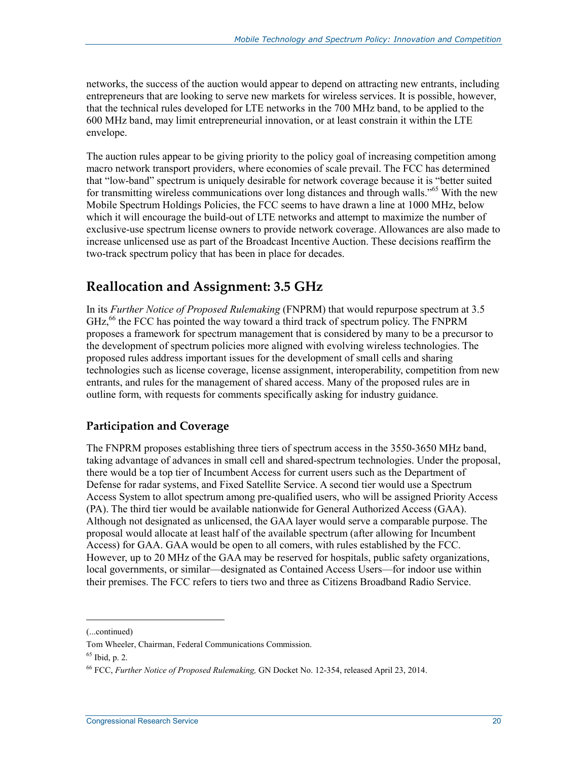networks, the success of the auction would appear to depend on attracting new entrants, including entrepreneurs that are looking to serve new markets for wireless services. It is possible, however, that the technical rules developed for LTE networks in the 700 MHz band, to be applied to the 600 MHz band, may limit entrepreneurial innovation, or at least constrain it within the LTE envelope.

The auction rules appear to be giving priority to the policy goal of increasing competition among macro network transport providers, where economies of scale prevail. The FCC has determined that "low-band" spectrum is uniquely desirable for network coverage because it is "better suited for transmitting wireless communications over long distances and through walls."<sup>65</sup> With the new Mobile Spectrum Holdings Policies, the FCC seems to have drawn a line at 1000 MHz, below which it will encourage the build-out of LTE networks and attempt to maximize the number of exclusive-use spectrum license owners to provide network coverage. Allowances are also made to increase unlicensed use as part of the Broadcast Incentive Auction. These decisions reaffirm the two-track spectrum policy that has been in place for decades.

## **Reallocation and Assignment: 3.5 GHz**

In its *Further Notice of Proposed Rulemaking* (FNPRM) that would repurpose spectrum at 3.5  $GHz<sub>6</sub><sup>66</sup>$  the FCC has pointed the way toward a third track of spectrum policy. The FNPRM proposes a framework for spectrum management that is considered by many to be a precursor to the development of spectrum policies more aligned with evolving wireless technologies. The proposed rules address important issues for the development of small cells and sharing technologies such as license coverage, license assignment, interoperability, competition from new entrants, and rules for the management of shared access. Many of the proposed rules are in outline form, with requests for comments specifically asking for industry guidance.

#### **Participation and Coverage**

The FNPRM proposes establishing three tiers of spectrum access in the 3550-3650 MHz band, taking advantage of advances in small cell and shared-spectrum technologies. Under the proposal, there would be a top tier of Incumbent Access for current users such as the Department of Defense for radar systems, and Fixed Satellite Service. A second tier would use a Spectrum Access System to allot spectrum among pre-qualified users, who will be assigned Priority Access (PA). The third tier would be available nationwide for General Authorized Access (GAA). Although not designated as unlicensed, the GAA layer would serve a comparable purpose. The proposal would allocate at least half of the available spectrum (after allowing for Incumbent Access) for GAA. GAA would be open to all comers, with rules established by the FCC. However, up to 20 MHz of the GAA may be reserved for hospitals, public safety organizations, local governments, or similar—designated as Contained Access Users—for indoor use within their premises. The FCC refers to tiers two and three as Citizens Broadband Radio Service.

<sup>(...</sup>continued)

Tom Wheeler, Chairman, Federal Communications Commission.

 $65$  Ibid, p. 2.

<sup>66</sup> FCC, *Further Notice of Proposed Rulemaking,* GN Docket No. 12-354, released April 23, 2014.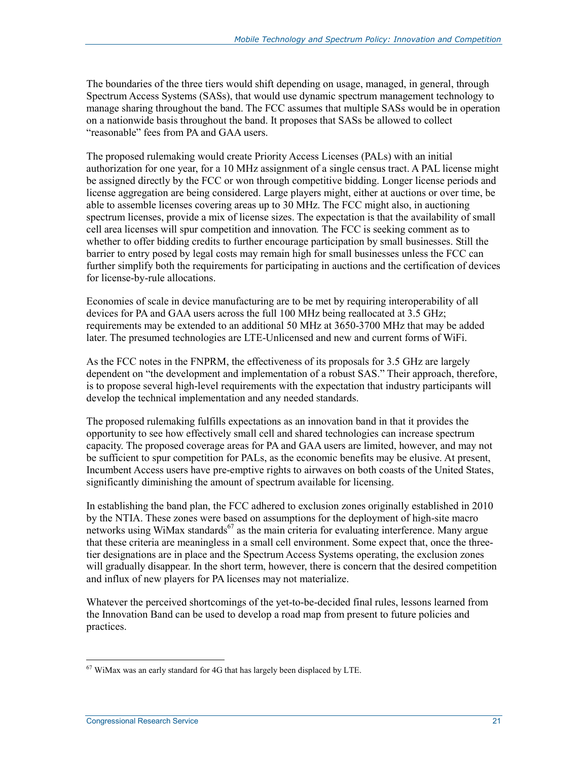The boundaries of the three tiers would shift depending on usage, managed, in general, through Spectrum Access Systems (SASs), that would use dynamic spectrum management technology to manage sharing throughout the band. The FCC assumes that multiple SASs would be in operation on a nationwide basis throughout the band. It proposes that SASs be allowed to collect "reasonable" fees from PA and GAA users.

The proposed rulemaking would create Priority Access Licenses (PALs) with an initial authorization for one year, for a 10 MHz assignment of a single census tract. A PAL license might be assigned directly by the FCC or won through competitive bidding. Longer license periods and license aggregation are being considered. Large players might, either at auctions or over time, be able to assemble licenses covering areas up to 30 MHz. The FCC might also, in auctioning spectrum licenses, provide a mix of license sizes. The expectation is that the availability of small cell area licenses will spur competition and innovation*.* The FCC is seeking comment as to whether to offer bidding credits to further encourage participation by small businesses. Still the barrier to entry posed by legal costs may remain high for small businesses unless the FCC can further simplify both the requirements for participating in auctions and the certification of devices for license-by-rule allocations.

Economies of scale in device manufacturing are to be met by requiring interoperability of all devices for PA and GAA users across the full 100 MHz being reallocated at 3.5 GHz; requirements may be extended to an additional 50 MHz at 3650-3700 MHz that may be added later. The presumed technologies are LTE-Unlicensed and new and current forms of WiFi.

As the FCC notes in the FNPRM, the effectiveness of its proposals for 3.5 GHz are largely dependent on "the development and implementation of a robust SAS." Their approach, therefore, is to propose several high-level requirements with the expectation that industry participants will develop the technical implementation and any needed standards.

The proposed rulemaking fulfills expectations as an innovation band in that it provides the opportunity to see how effectively small cell and shared technologies can increase spectrum capacity. The proposed coverage areas for PA and GAA users are limited, however, and may not be sufficient to spur competition for PALs, as the economic benefits may be elusive. At present, Incumbent Access users have pre-emptive rights to airwaves on both coasts of the United States, significantly diminishing the amount of spectrum available for licensing.

In establishing the band plan, the FCC adhered to exclusion zones originally established in 2010 by the NTIA. These zones were based on assumptions for the deployment of high-site macro networks using WiMax standards<sup>67</sup> as the main criteria for evaluating interference. Many argue that these criteria are meaningless in a small cell environment. Some expect that, once the threetier designations are in place and the Spectrum Access Systems operating, the exclusion zones will gradually disappear. In the short term, however, there is concern that the desired competition and influx of new players for PA licenses may not materialize.

Whatever the perceived shortcomings of the yet-to-be-decided final rules, lessons learned from the Innovation Band can be used to develop a road map from present to future policies and practices.

<u>.</u>

 $67$  WiMax was an early standard for 4G that has largely been displaced by LTE.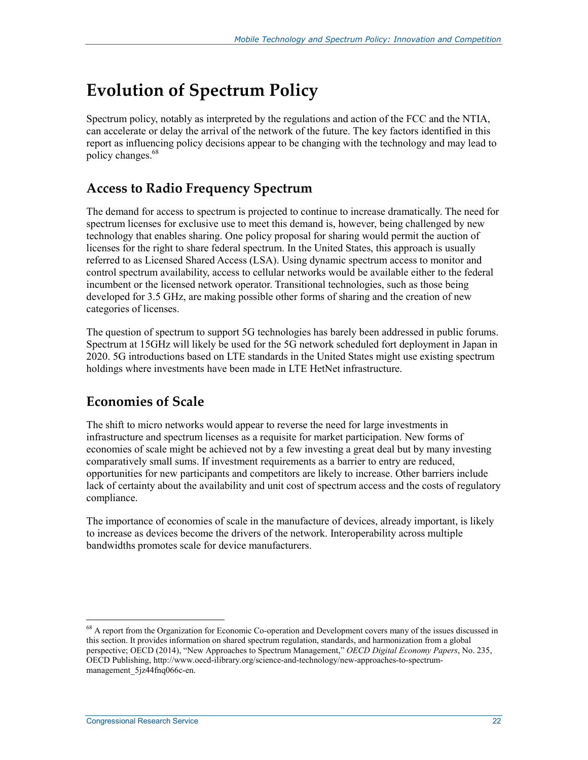## **Evolution of Spectrum Policy**

Spectrum policy, notably as interpreted by the regulations and action of the FCC and the NTIA, can accelerate or delay the arrival of the network of the future. The key factors identified in this report as influencing policy decisions appear to be changing with the technology and may lead to policy changes.<sup>68</sup>

## **Access to Radio Frequency Spectrum**

The demand for access to spectrum is projected to continue to increase dramatically. The need for spectrum licenses for exclusive use to meet this demand is, however, being challenged by new technology that enables sharing. One policy proposal for sharing would permit the auction of licenses for the right to share federal spectrum. In the United States, this approach is usually referred to as Licensed Shared Access (LSA). Using dynamic spectrum access to monitor and control spectrum availability, access to cellular networks would be available either to the federal incumbent or the licensed network operator. Transitional technologies, such as those being developed for 3.5 GHz, are making possible other forms of sharing and the creation of new categories of licenses.

The question of spectrum to support 5G technologies has barely been addressed in public forums. Spectrum at 15GHz will likely be used for the 5G network scheduled fort deployment in Japan in 2020. 5G introductions based on LTE standards in the United States might use existing spectrum holdings where investments have been made in LTE HetNet infrastructure.

## **Economies of Scale**

The shift to micro networks would appear to reverse the need for large investments in infrastructure and spectrum licenses as a requisite for market participation. New forms of economies of scale might be achieved not by a few investing a great deal but by many investing comparatively small sums. If investment requirements as a barrier to entry are reduced, opportunities for new participants and competitors are likely to increase. Other barriers include lack of certainty about the availability and unit cost of spectrum access and the costs of regulatory compliance.

The importance of economies of scale in the manufacture of devices, already important, is likely to increase as devices become the drivers of the network. Interoperability across multiple bandwidths promotes scale for device manufacturers.

<sup>&</sup>lt;sup>68</sup> A report from the Organization for Economic Co-operation and Development covers many of the issues discussed in this section. It provides information on shared spectrum regulation, standards, and harmonization from a global perspective; OECD (2014), "New Approaches to Spectrum Management," *OECD Digital Economy Papers*, No. 235, OECD Publishing, http://www.oecd-ilibrary.org/science-and-technology/new-approaches-to-spectrummanagement\_5jz44fnq066c-en.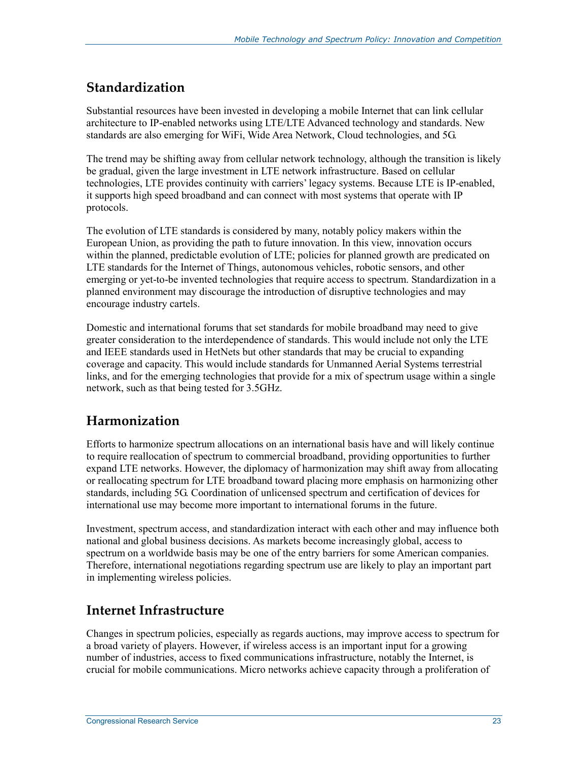## **Standardization**

Substantial resources have been invested in developing a mobile Internet that can link cellular architecture to IP-enabled networks using LTE/LTE Advanced technology and standards. New standards are also emerging for WiFi, Wide Area Network, Cloud technologies, and 5G.

The trend may be shifting away from cellular network technology, although the transition is likely be gradual, given the large investment in LTE network infrastructure. Based on cellular technologies, LTE provides continuity with carriers' legacy systems. Because LTE is IP-enabled, it supports high speed broadband and can connect with most systems that operate with IP protocols.

The evolution of LTE standards is considered by many, notably policy makers within the European Union, as providing the path to future innovation. In this view, innovation occurs within the planned, predictable evolution of LTE; policies for planned growth are predicated on LTE standards for the Internet of Things, autonomous vehicles, robotic sensors, and other emerging or yet-to-be invented technologies that require access to spectrum. Standardization in a planned environment may discourage the introduction of disruptive technologies and may encourage industry cartels.

Domestic and international forums that set standards for mobile broadband may need to give greater consideration to the interdependence of standards. This would include not only the LTE and IEEE standards used in HetNets but other standards that may be crucial to expanding coverage and capacity. This would include standards for Unmanned Aerial Systems terrestrial links, and for the emerging technologies that provide for a mix of spectrum usage within a single network, such as that being tested for 3.5GHz.

## **Harmonization**

Efforts to harmonize spectrum allocations on an international basis have and will likely continue to require reallocation of spectrum to commercial broadband, providing opportunities to further expand LTE networks. However, the diplomacy of harmonization may shift away from allocating or reallocating spectrum for LTE broadband toward placing more emphasis on harmonizing other standards, including 5G. Coordination of unlicensed spectrum and certification of devices for international use may become more important to international forums in the future.

Investment, spectrum access, and standardization interact with each other and may influence both national and global business decisions. As markets become increasingly global, access to spectrum on a worldwide basis may be one of the entry barriers for some American companies. Therefore, international negotiations regarding spectrum use are likely to play an important part in implementing wireless policies.

## **Internet Infrastructure**

Changes in spectrum policies, especially as regards auctions, may improve access to spectrum for a broad variety of players. However, if wireless access is an important input for a growing number of industries, access to fixed communications infrastructure, notably the Internet, is crucial for mobile communications. Micro networks achieve capacity through a proliferation of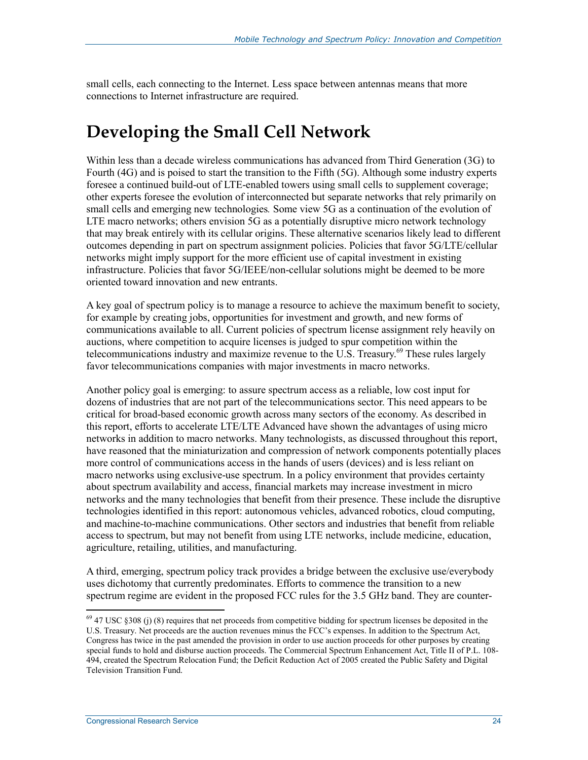small cells, each connecting to the Internet. Less space between antennas means that more connections to Internet infrastructure are required.

## **Developing the Small Cell Network**

Within less than a decade wireless communications has advanced from Third Generation (3G) to Fourth (4G) and is poised to start the transition to the Fifth (5G). Although some industry experts foresee a continued build-out of LTE-enabled towers using small cells to supplement coverage; other experts foresee the evolution of interconnected but separate networks that rely primarily on small cells and emerging new technologies*.* Some view 5G as a continuation of the evolution of LTE macro networks; others envision 5G as a potentially disruptive micro network technology that may break entirely with its cellular origins. These alternative scenarios likely lead to different outcomes depending in part on spectrum assignment policies. Policies that favor 5G/LTE/cellular networks might imply support for the more efficient use of capital investment in existing infrastructure. Policies that favor 5G/IEEE/non-cellular solutions might be deemed to be more oriented toward innovation and new entrants.

A key goal of spectrum policy is to manage a resource to achieve the maximum benefit to society, for example by creating jobs, opportunities for investment and growth, and new forms of communications available to all. Current policies of spectrum license assignment rely heavily on auctions, where competition to acquire licenses is judged to spur competition within the telecommunications industry and maximize revenue to the U.S. Treasury.<sup>69</sup> These rules largely favor telecommunications companies with major investments in macro networks.

Another policy goal is emerging: to assure spectrum access as a reliable, low cost input for dozens of industries that are not part of the telecommunications sector. This need appears to be critical for broad-based economic growth across many sectors of the economy. As described in this report, efforts to accelerate LTE/LTE Advanced have shown the advantages of using micro networks in addition to macro networks. Many technologists, as discussed throughout this report, have reasoned that the miniaturization and compression of network components potentially places more control of communications access in the hands of users (devices) and is less reliant on macro networks using exclusive-use spectrum. In a policy environment that provides certainty about spectrum availability and access, financial markets may increase investment in micro networks and the many technologies that benefit from their presence. These include the disruptive technologies identified in this report: autonomous vehicles, advanced robotics, cloud computing, and machine-to-machine communications. Other sectors and industries that benefit from reliable access to spectrum, but may not benefit from using LTE networks, include medicine, education, agriculture, retailing, utilities, and manufacturing.

A third, emerging, spectrum policy track provides a bridge between the exclusive use/everybody uses dichotomy that currently predominates. Efforts to commence the transition to a new spectrum regime are evident in the proposed FCC rules for the 3.5 GHz band. They are counter-

 $69$  47 USC §308 (j) (8) requires that net proceeds from competitive bidding for spectrum licenses be deposited in the U.S. Treasury. Net proceeds are the auction revenues minus the FCC's expenses. In addition to the Spectrum Act, Congress has twice in the past amended the provision in order to use auction proceeds for other purposes by creating special funds to hold and disburse auction proceeds. The Commercial Spectrum Enhancement Act, Title II of P.L. 108- 494, created the Spectrum Relocation Fund; the Deficit Reduction Act of 2005 created the Public Safety and Digital Television Transition Fund.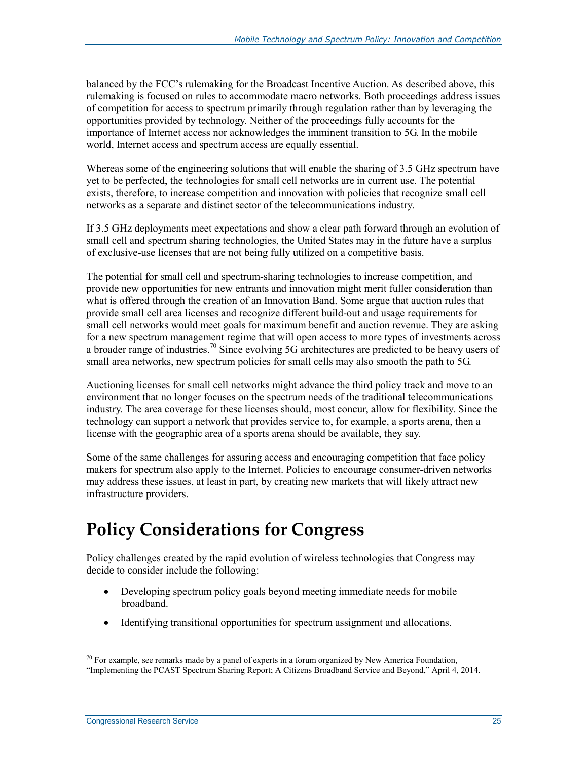balanced by the FCC's rulemaking for the Broadcast Incentive Auction. As described above, this rulemaking is focused on rules to accommodate macro networks. Both proceedings address issues of competition for access to spectrum primarily through regulation rather than by leveraging the opportunities provided by technology. Neither of the proceedings fully accounts for the importance of Internet access nor acknowledges the imminent transition to 5G. In the mobile world, Internet access and spectrum access are equally essential.

Whereas some of the engineering solutions that will enable the sharing of 3.5 GHz spectrum have yet to be perfected, the technologies for small cell networks are in current use. The potential exists, therefore, to increase competition and innovation with policies that recognize small cell networks as a separate and distinct sector of the telecommunications industry.

If 3.5 GHz deployments meet expectations and show a clear path forward through an evolution of small cell and spectrum sharing technologies, the United States may in the future have a surplus of exclusive-use licenses that are not being fully utilized on a competitive basis.

The potential for small cell and spectrum-sharing technologies to increase competition, and provide new opportunities for new entrants and innovation might merit fuller consideration than what is offered through the creation of an Innovation Band. Some argue that auction rules that provide small cell area licenses and recognize different build-out and usage requirements for small cell networks would meet goals for maximum benefit and auction revenue. They are asking for a new spectrum management regime that will open access to more types of investments across a broader range of industries.<sup>70</sup> Since evolving 5G architectures are predicted to be heavy users of small area networks, new spectrum policies for small cells may also smooth the path to 5G.

Auctioning licenses for small cell networks might advance the third policy track and move to an environment that no longer focuses on the spectrum needs of the traditional telecommunications industry. The area coverage for these licenses should, most concur, allow for flexibility. Since the technology can support a network that provides service to, for example, a sports arena, then a license with the geographic area of a sports arena should be available, they say.

Some of the same challenges for assuring access and encouraging competition that face policy makers for spectrum also apply to the Internet. Policies to encourage consumer-driven networks may address these issues, at least in part, by creating new markets that will likely attract new infrastructure providers.

## **Policy Considerations for Congress**

Policy challenges created by the rapid evolution of wireless technologies that Congress may decide to consider include the following:

- Developing spectrum policy goals beyond meeting immediate needs for mobile broadband.
- Identifying transitional opportunities for spectrum assignment and allocations.

 $^{70}$  For example, see remarks made by a panel of experts in a forum organized by New America Foundation, "Implementing the PCAST Spectrum Sharing Report; A Citizens Broadband Service and Beyond," April 4, 2014.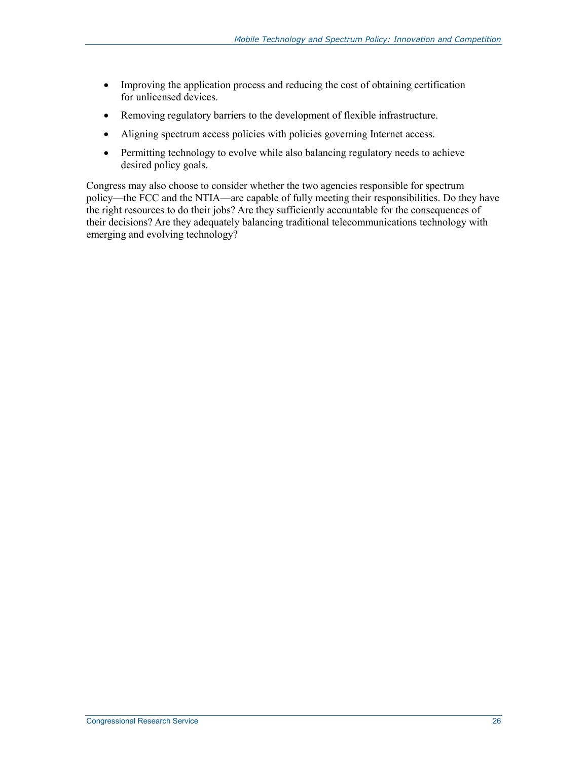- Improving the application process and reducing the cost of obtaining certification for unlicensed devices.
- Removing regulatory barriers to the development of flexible infrastructure.
- Aligning spectrum access policies with policies governing Internet access.
- Permitting technology to evolve while also balancing regulatory needs to achieve desired policy goals.

Congress may also choose to consider whether the two agencies responsible for spectrum policy—the FCC and the NTIA—are capable of fully meeting their responsibilities. Do they have the right resources to do their jobs? Are they sufficiently accountable for the consequences of their decisions? Are they adequately balancing traditional telecommunications technology with emerging and evolving technology?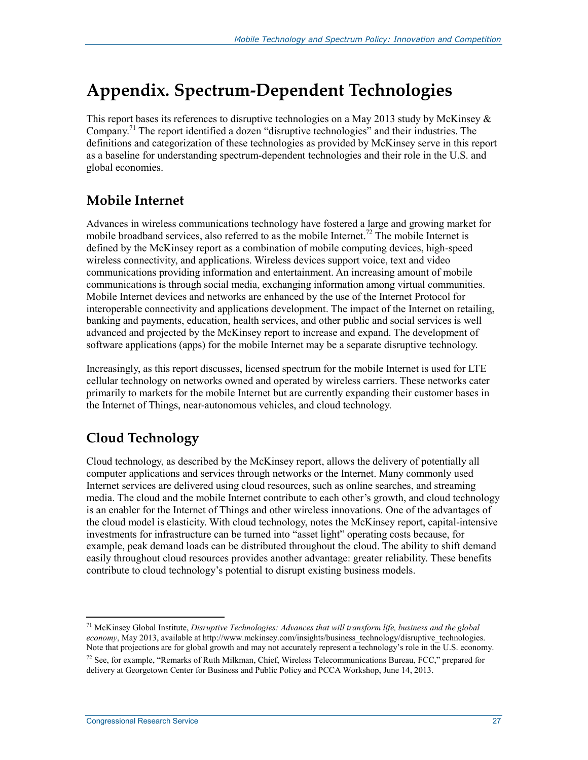## **Appendix. Spectrum-Dependent Technologies**

This report bases its references to disruptive technologies on a May 2013 study by McKinsey & Company.<sup>71</sup> The report identified a dozen "disruptive technologies" and their industries. The definitions and categorization of these technologies as provided by McKinsey serve in this report as a baseline for understanding spectrum-dependent technologies and their role in the U.S. and global economies.

## **Mobile Internet**

Advances in wireless communications technology have fostered a large and growing market for mobile broadband services, also referred to as the mobile Internet.<sup>72</sup> The mobile Internet is defined by the McKinsey report as a combination of mobile computing devices, high-speed wireless connectivity, and applications. Wireless devices support voice, text and video communications providing information and entertainment. An increasing amount of mobile communications is through social media, exchanging information among virtual communities. Mobile Internet devices and networks are enhanced by the use of the Internet Protocol for interoperable connectivity and applications development. The impact of the Internet on retailing, banking and payments, education, health services, and other public and social services is well advanced and projected by the McKinsey report to increase and expand. The development of software applications (apps) for the mobile Internet may be a separate disruptive technology.

Increasingly, as this report discusses, licensed spectrum for the mobile Internet is used for LTE cellular technology on networks owned and operated by wireless carriers. These networks cater primarily to markets for the mobile Internet but are currently expanding their customer bases in the Internet of Things, near-autonomous vehicles, and cloud technology.

## **Cloud Technology**

Cloud technology, as described by the McKinsey report, allows the delivery of potentially all computer applications and services through networks or the Internet. Many commonly used Internet services are delivered using cloud resources, such as online searches, and streaming media. The cloud and the mobile Internet contribute to each other's growth, and cloud technology is an enabler for the Internet of Things and other wireless innovations. One of the advantages of the cloud model is elasticity. With cloud technology, notes the McKinsey report, capital-intensive investments for infrastructure can be turned into "asset light" operating costs because, for example, peak demand loads can be distributed throughout the cloud. The ability to shift demand easily throughout cloud resources provides another advantage: greater reliability. These benefits contribute to cloud technology's potential to disrupt existing business models.

<sup>1</sup> 71 McKinsey Global Institute, *Disruptive Technologies: Advances that will transform life, business and the global economy*, May 2013, available at http://www.mckinsey.com/insights/business\_technology/disruptive\_technologies. Note that projections are for global growth and may not accurately represent a technology's role in the U.S. economy.  $^{72}$  See, for example, "Remarks of Ruth Milkman, Chief, Wireless Telecommunications Bureau, FCC," prepared for delivery at Georgetown Center for Business and Public Policy and PCCA Workshop, June 14, 2013.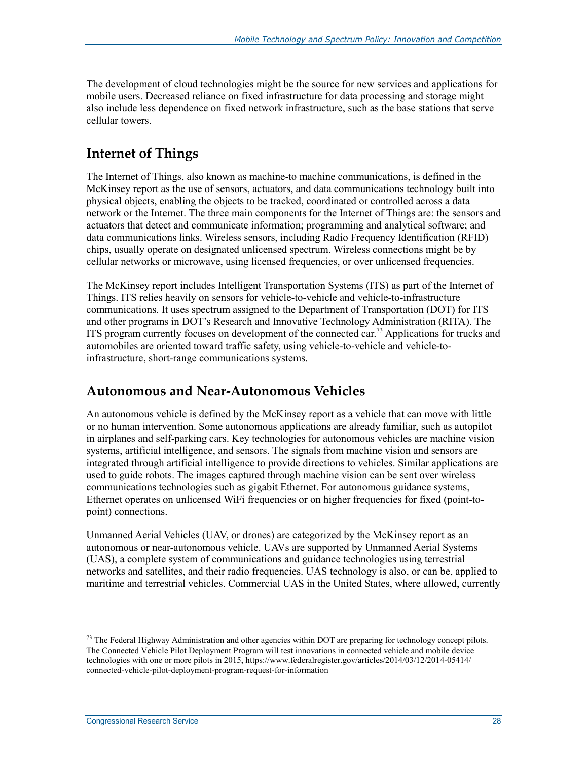The development of cloud technologies might be the source for new services and applications for mobile users. Decreased reliance on fixed infrastructure for data processing and storage might also include less dependence on fixed network infrastructure, such as the base stations that serve cellular towers.

## **Internet of Things**

The Internet of Things, also known as machine-to machine communications, is defined in the McKinsey report as the use of sensors, actuators, and data communications technology built into physical objects, enabling the objects to be tracked, coordinated or controlled across a data network or the Internet. The three main components for the Internet of Things are: the sensors and actuators that detect and communicate information; programming and analytical software; and data communications links. Wireless sensors, including Radio Frequency Identification (RFID) chips, usually operate on designated unlicensed spectrum. Wireless connections might be by cellular networks or microwave, using licensed frequencies, or over unlicensed frequencies.

The McKinsey report includes Intelligent Transportation Systems (ITS) as part of the Internet of Things. ITS relies heavily on sensors for vehicle-to-vehicle and vehicle-to-infrastructure communications. It uses spectrum assigned to the Department of Transportation (DOT) for ITS and other programs in DOT's Research and Innovative Technology Administration (RITA). The ITS program currently focuses on development of the connected car.<sup>73</sup> Applications for trucks and automobiles are oriented toward traffic safety, using vehicle-to-vehicle and vehicle-toinfrastructure, short-range communications systems.

### **Autonomous and Near-Autonomous Vehicles**

An autonomous vehicle is defined by the McKinsey report as a vehicle that can move with little or no human intervention. Some autonomous applications are already familiar, such as autopilot in airplanes and self-parking cars. Key technologies for autonomous vehicles are machine vision systems, artificial intelligence, and sensors. The signals from machine vision and sensors are integrated through artificial intelligence to provide directions to vehicles. Similar applications are used to guide robots. The images captured through machine vision can be sent over wireless communications technologies such as gigabit Ethernet. For autonomous guidance systems, Ethernet operates on unlicensed WiFi frequencies or on higher frequencies for fixed (point-topoint) connections.

Unmanned Aerial Vehicles (UAV, or drones) are categorized by the McKinsey report as an autonomous or near-autonomous vehicle. UAVs are supported by Unmanned Aerial Systems (UAS), a complete system of communications and guidance technologies using terrestrial networks and satellites, and their radio frequencies. UAS technology is also, or can be, applied to maritime and terrestrial vehicles. Commercial UAS in the United States, where allowed, currently

<sup>&</sup>lt;sup>73</sup> The Federal Highway Administration and other agencies within DOT are preparing for technology concept pilots. The Connected Vehicle Pilot Deployment Program will test innovations in connected vehicle and mobile device technologies with one or more pilots in 2015, https://www.federalregister.gov/articles/2014/03/12/2014-05414/ connected-vehicle-pilot-deployment-program-request-for-information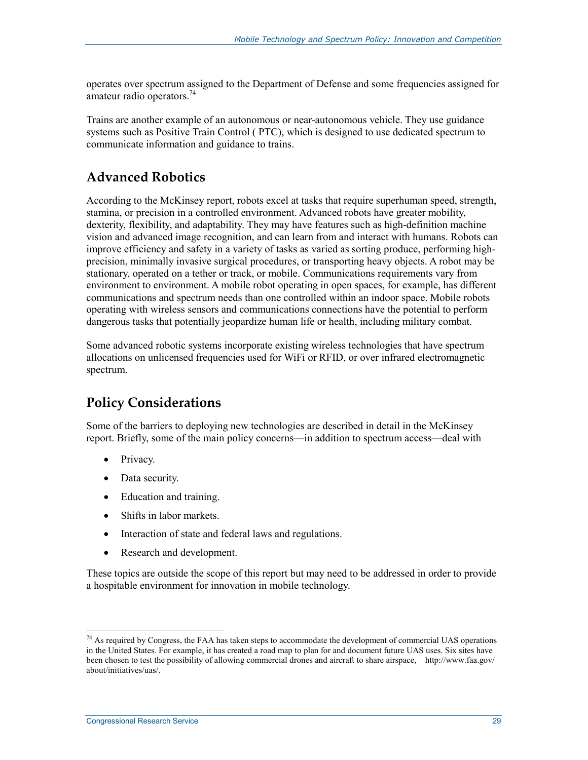operates over spectrum assigned to the Department of Defense and some frequencies assigned for amateur radio operators.<sup>74</sup>

Trains are another example of an autonomous or near-autonomous vehicle. They use guidance systems such as Positive Train Control ( PTC), which is designed to use dedicated spectrum to communicate information and guidance to trains.

#### **Advanced Robotics**

According to the McKinsey report, robots excel at tasks that require superhuman speed, strength, stamina, or precision in a controlled environment. Advanced robots have greater mobility, dexterity, flexibility, and adaptability. They may have features such as high-definition machine vision and advanced image recognition, and can learn from and interact with humans. Robots can improve efficiency and safety in a variety of tasks as varied as sorting produce, performing highprecision, minimally invasive surgical procedures, or transporting heavy objects. A robot may be stationary, operated on a tether or track, or mobile. Communications requirements vary from environment to environment. A mobile robot operating in open spaces, for example, has different communications and spectrum needs than one controlled within an indoor space. Mobile robots operating with wireless sensors and communications connections have the potential to perform dangerous tasks that potentially jeopardize human life or health, including military combat.

Some advanced robotic systems incorporate existing wireless technologies that have spectrum allocations on unlicensed frequencies used for WiFi or RFID, or over infrared electromagnetic spectrum.

## **Policy Considerations**

Some of the barriers to deploying new technologies are described in detail in the McKinsey report. Briefly, some of the main policy concerns—in addition to spectrum access—deal with

- Privacy.
- Data security.
- Education and training.
- Shifts in labor markets.
- Interaction of state and federal laws and regulations.
- Research and development.

These topics are outside the scope of this report but may need to be addressed in order to provide a hospitable environment for innovation in mobile technology.

<sup>&</sup>lt;sup>74</sup> As required by Congress, the FAA has taken steps to accommodate the development of commercial UAS operations in the United States. For example, it has created a road map to plan for and document future UAS uses. Six sites have been chosen to test the possibility of allowing commercial drones and aircraft to share airspace, http://www.faa.gov/ about/initiatives/uas/.